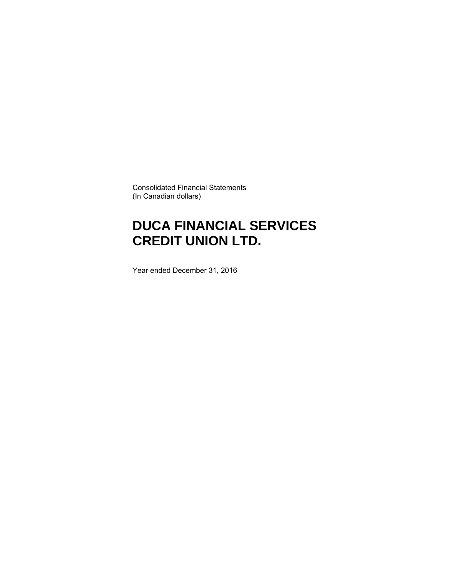Consolidated Financial Statements (In Canadian dollars)

# **DUCA FINANCIAL SERVICES CREDIT UNION LTD.**

Year ended December 31, 2016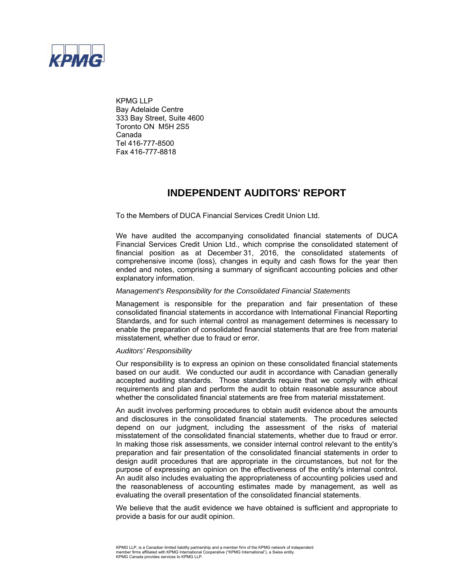

KPMG LLP Bay Adelaide Centre 333 Bay Street, Suite 4600 Toronto ON M5H 2S5 Canada Tel 416-777-8500 Fax 416-777-8818

### **INDEPENDENT AUDITORS' REPORT**

To the Members of DUCA Financial Services Credit Union Ltd.

We have audited the accompanying consolidated financial statements of DUCA Financial Services Credit Union Ltd., which comprise the consolidated statement of financial position as at December 31, 2016, the consolidated statements of comprehensive income (loss), changes in equity and cash flows for the year then ended and notes, comprising a summary of significant accounting policies and other explanatory information.

#### *Management's Responsibility for the Consolidated Financial Statements*

Management is responsible for the preparation and fair presentation of these consolidated financial statements in accordance with International Financial Reporting Standards, and for such internal control as management determines is necessary to enable the preparation of consolidated financial statements that are free from material misstatement, whether due to fraud or error.

#### *Auditors' Responsibility*

Our responsibility is to express an opinion on these consolidated financial statements based on our audit. We conducted our audit in accordance with Canadian generally accepted auditing standards. Those standards require that we comply with ethical requirements and plan and perform the audit to obtain reasonable assurance about whether the consolidated financial statements are free from material misstatement.

An audit involves performing procedures to obtain audit evidence about the amounts and disclosures in the consolidated financial statements. The procedures selected depend on our judgment, including the assessment of the risks of material misstatement of the consolidated financial statements, whether due to fraud or error. In making those risk assessments, we consider internal control relevant to the entity's preparation and fair presentation of the consolidated financial statements in order to design audit procedures that are appropriate in the circumstances, but not for the purpose of expressing an opinion on the effectiveness of the entity's internal control. An audit also includes evaluating the appropriateness of accounting policies used and the reasonableness of accounting estimates made by management, as well as evaluating the overall presentation of the consolidated financial statements.

We believe that the audit evidence we have obtained is sufficient and appropriate to provide a basis for our audit opinion.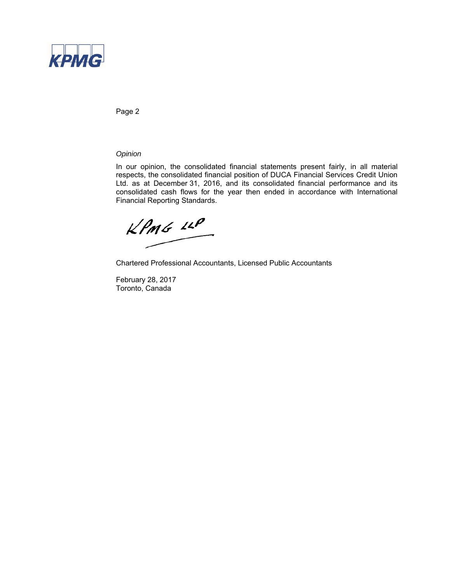

Page 2

#### *Opinion*

In our opinion, the consolidated financial statements present fairly, in all material respects, the consolidated financial position of DUCA Financial Services Credit Union Ltd. as at December 31, 2016, and its consolidated financial performance and its consolidated cash flows for the year then ended in accordance with International Financial Reporting Standards.

 $kPm6$  14 $P$ 

Chartered Professional Accountants, Licensed Public Accountants

February 28, 2017 Toronto, Canada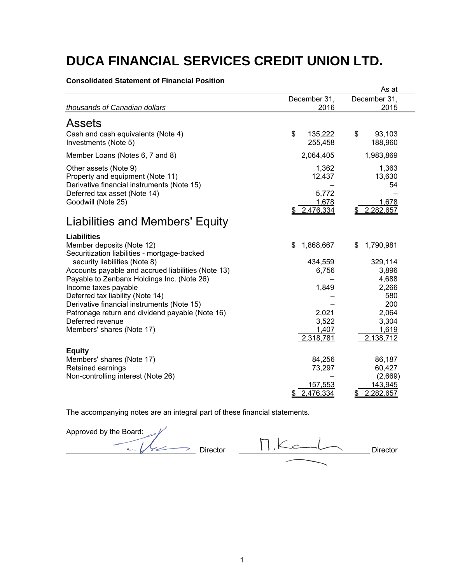**Consolidated Statement of Financial Position** 

|                                                                                                                                                               |                                                      | As at                                                     |
|---------------------------------------------------------------------------------------------------------------------------------------------------------------|------------------------------------------------------|-----------------------------------------------------------|
| thousands of Canadian dollars                                                                                                                                 | December 31,<br>2016                                 | December 31,<br>2015                                      |
| Assets                                                                                                                                                        |                                                      |                                                           |
| Cash and cash equivalents (Note 4)<br>Investments (Note 5)                                                                                                    | \$<br>135,222<br>255,458                             | \$<br>93,103<br>188,960                                   |
| Member Loans (Notes 6, 7 and 8)                                                                                                                               | 2,064,405                                            | 1,983,869                                                 |
| Other assets (Note 9)<br>Property and equipment (Note 11)<br>Derivative financial instruments (Note 15)<br>Deferred tax asset (Note 14)<br>Goodwill (Note 25) | 1,362<br>12,437<br>5,772<br>1,678<br>2,476,334<br>S. | 1,363<br>13,630<br>54<br>1,678<br>2,282,657               |
| Liabilities and Members' Equity                                                                                                                               |                                                      |                                                           |
| <b>Liabilities</b><br>Member deposits (Note 12)<br>Securitization liabilities - mortgage-backed                                                               | \$<br>1,868,667                                      | \$<br>1,790,981                                           |
| security liabilities (Note 8)<br>Accounts payable and accrued liabilities (Note 13)<br>Payable to Zenbanx Holdings Inc. (Note 26)                             | 434,559<br>6,756                                     | 329,114<br>3,896<br>4,688                                 |
| Income taxes payable<br>Deferred tax liability (Note 14)<br>Derivative financial instruments (Note 15)                                                        | 1,849                                                | 2,266<br>580<br>200                                       |
| Patronage return and dividend payable (Note 16)<br>Deferred revenue<br>Members' shares (Note 17)                                                              | 2,021<br>3,522<br>1,407<br>2,318,781                 | 2,064<br>3,304<br>1,619<br>2,138,712                      |
| <b>Equity</b>                                                                                                                                                 |                                                      |                                                           |
| Members' shares (Note 17)<br>Retained earnings<br>Non-controlling interest (Note 26)                                                                          | 84,256<br>73,297<br>157,553<br>2,476,334<br>\$       | 86,187<br>60,427<br>(2,669)<br>143,945<br>2,282,657<br>\$ |

Approved by the Board:

Director M.K.c.L. Director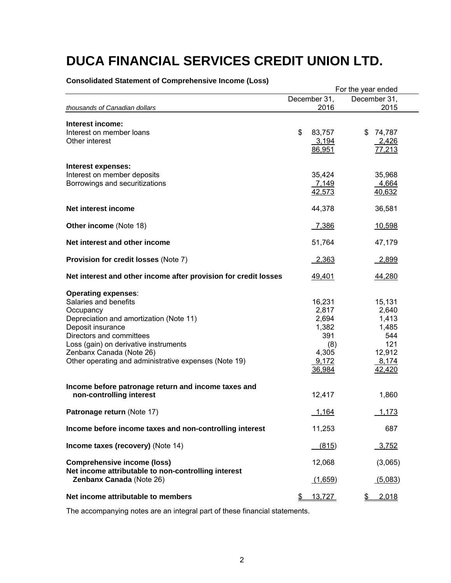|                                                                                                                                                                                                                                                                                            |    | For the year ended                                                          |                                                                              |
|--------------------------------------------------------------------------------------------------------------------------------------------------------------------------------------------------------------------------------------------------------------------------------------------|----|-----------------------------------------------------------------------------|------------------------------------------------------------------------------|
|                                                                                                                                                                                                                                                                                            |    | December 31,                                                                | December 31,                                                                 |
| thousands of Canadian dollars                                                                                                                                                                                                                                                              |    | 2016                                                                        | 2015                                                                         |
| Interest income:<br>Interest on member loans<br>Other interest                                                                                                                                                                                                                             | \$ | 83,757<br>3,194<br>86,951                                                   | 74,787<br>\$<br>2,426<br>77,213                                              |
| Interest expenses:<br>Interest on member deposits<br>Borrowings and securitizations                                                                                                                                                                                                        |    | 35,424<br><u>7,149</u><br>42,573                                            | 35,968<br>4,664<br>40,632                                                    |
| Net interest income                                                                                                                                                                                                                                                                        |    | 44,378                                                                      | 36,581                                                                       |
| Other income (Note 18)                                                                                                                                                                                                                                                                     |    | 7,386                                                                       | 10,598                                                                       |
| Net interest and other income                                                                                                                                                                                                                                                              |    | 51,764                                                                      | 47,179                                                                       |
| Provision for credit losses (Note 7)                                                                                                                                                                                                                                                       |    | 2,363                                                                       | 2,899                                                                        |
| Net interest and other income after provision for credit losses                                                                                                                                                                                                                            |    | 49,401                                                                      | 44,280                                                                       |
| <b>Operating expenses:</b><br>Salaries and benefits<br>Occupancy<br>Depreciation and amortization (Note 11)<br>Deposit insurance<br>Directors and committees<br>Loss (gain) on derivative instruments<br>Zenbanx Canada (Note 26)<br>Other operating and administrative expenses (Note 19) |    | 16,231<br>2,817<br>2,694<br>1,382<br>391<br>(8)<br>4,305<br>9,172<br>36,984 | 15,131<br>2,640<br>1,413<br>1,485<br>544<br>121<br>12,912<br>8,174<br>42,420 |
| Income before patronage return and income taxes and<br>non-controlling interest                                                                                                                                                                                                            |    | 12,417                                                                      | 1,860                                                                        |
| Patronage return (Note 17)                                                                                                                                                                                                                                                                 |    | 1,164                                                                       | 1,173                                                                        |
| Income before income taxes and non-controlling interest                                                                                                                                                                                                                                    |    | 11,253                                                                      | 687                                                                          |
| Income taxes (recovery) (Note 14)                                                                                                                                                                                                                                                          |    | (815)                                                                       | 3,752                                                                        |
| <b>Comprehensive income (loss)</b>                                                                                                                                                                                                                                                         |    | 12,068                                                                      | (3,065)                                                                      |
| Net income attributable to non-controlling interest<br>Zenbanx Canada (Note 26)                                                                                                                                                                                                            |    | (1,659)                                                                     | (5,083)                                                                      |
| Net income attributable to members                                                                                                                                                                                                                                                         | \$ | 13,727                                                                      | 2,018<br>\$                                                                  |

#### **Consolidated Statement of Comprehensive Income (Loss)**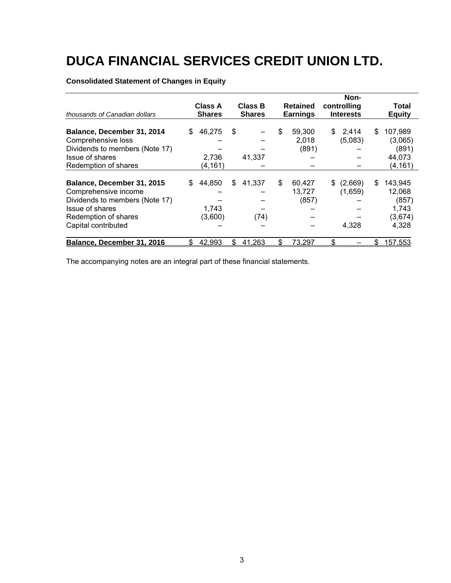### **Consolidated Statement of Changes in Equity**

|                                                                                                                                                        |     |                             |                                                             |                |                                    |                           |                                 | Non-                        |                                                               |
|--------------------------------------------------------------------------------------------------------------------------------------------------------|-----|-----------------------------|-------------------------------------------------------------|----------------|------------------------------------|---------------------------|---------------------------------|-----------------------------|---------------------------------------------------------------|
| thousands of Canadian dollars                                                                                                                          |     |                             | Class A<br><b>Class B</b><br><b>Shares</b><br><b>Shares</b> |                | <b>Retained</b><br><b>Earnings</b> |                           | controlling<br><b>Interests</b> |                             | Total<br><b>Equity</b>                                        |
| Balance, December 31, 2014<br>Comprehensive loss<br>Dividends to members (Note 17)<br>Issue of shares<br>Redemption of shares                          | \$. | 46,275<br>2,736<br>(4, 161) | \$                                                          | 41,337         | \$                                 | 59,300<br>2,018<br>(891)  | S.                              | 2,414<br>(5,083)            | \$<br>107,989<br>(3,065)<br>(891)<br>44,073<br>(4, 161)       |
| Balance, December 31, 2015<br>Comprehensive income<br>Dividends to members (Note 17)<br>Issue of shares<br>Redemption of shares<br>Capital contributed | \$  | 44,850<br>1.743<br>(3,600)  | \$                                                          | 41,337<br>(74) | \$                                 | 60,427<br>13,727<br>(857) | \$.                             | (2,669)<br>(1,659)<br>4,328 | \$<br>143,945<br>12,068<br>(857)<br>1,743<br>(3,674)<br>4,328 |
| Balance, December 31, 2016                                                                                                                             | \$  | 42,993                      | \$                                                          | <u>41,263</u>  | \$                                 | 73.297                    |                                 |                             | \$<br><u>157,553</u>                                          |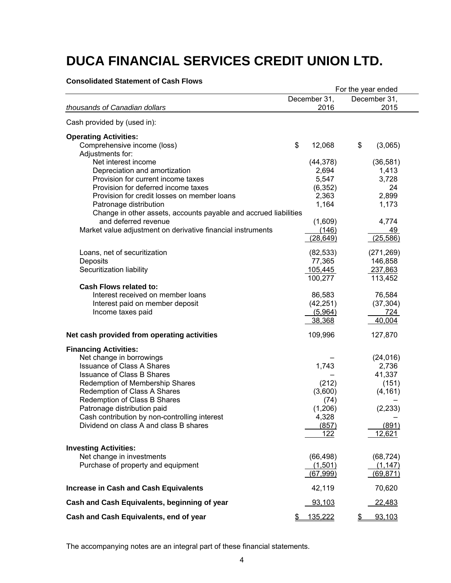#### **Consolidated Statement of Cash Flows**

|                                                                  |               | For the year ended |
|------------------------------------------------------------------|---------------|--------------------|
|                                                                  | December 31,  | December 31,       |
| thousands of Canadian dollars                                    | 2016          | 2015               |
| Cash provided by (used in):                                      |               |                    |
| <b>Operating Activities:</b>                                     |               |                    |
| Comprehensive income (loss)                                      | \$<br>12,068  | \$<br>(3,065)      |
| Adjustments for:                                                 |               |                    |
| Net interest income                                              | (44, 378)     | (36, 581)          |
| Depreciation and amortization                                    | 2,694         | 1,413              |
| Provision for current income taxes                               | 5,547         | 3,728              |
| Provision for deferred income taxes                              | (6, 352)      | 24                 |
| Provision for credit losses on member loans                      | 2,363         | 2,899              |
| Patronage distribution                                           | 1,164         | 1,173              |
| Change in other assets, accounts payable and accrued liabilities |               |                    |
| and deferred revenue                                             | (1,609)       | 4,774              |
| Market value adjustment on derivative financial instruments      | (146)         | 49                 |
|                                                                  | (28, 649)     | (25, 586)          |
| Loans, net of securitization                                     | (82, 533)     | (271, 269)         |
| Deposits                                                         | 77,365        | 146,858            |
| Securitization liability                                         | 105,445       | 237,863            |
|                                                                  | 100,277       | 113,452            |
| <b>Cash Flows related to:</b>                                    |               |                    |
| Interest received on member loans                                | 86,583        | 76,584             |
| Interest paid on member deposit                                  | (42, 251)     | (37, 304)          |
| Income taxes paid                                                | (5,964)       | 724                |
|                                                                  | 38,368        | 40,004             |
| Net cash provided from operating activities                      | 109,996       | 127,870            |
| <b>Financing Activities:</b>                                     |               |                    |
| Net change in borrowings                                         |               | (24, 016)          |
| <b>Issuance of Class A Shares</b>                                | 1,743         | 2,736              |
| <b>Issuance of Class B Shares</b>                                |               | 41,337             |
| Redemption of Membership Shares                                  | (212)         | (151)              |
| Redemption of Class A Shares                                     | (3,600)       | (4, 161)           |
| Redemption of Class B Shares                                     | (74)          |                    |
| Patronage distribution paid                                      | (1,206)       | (2, 233)           |
| Cash contribution by non-controlling interest                    | 4,328         |                    |
| Dividend on class A and class B shares                           | (857)<br>122  | (891)<br>12,621    |
|                                                                  |               |                    |
| <b>Investing Activities:</b>                                     |               |                    |
| Net change in investments                                        | (66, 498)     | (68, 724)          |
| Purchase of property and equipment                               | (1,501)       | (1, 147)           |
|                                                                  | (67, 999)     | (69, 871)          |
| <b>Increase in Cash and Cash Equivalents</b>                     | 42,119        | 70,620             |
| Cash and Cash Equivalents, beginning of year                     | <u>93,103</u> | <u>22,483</u>      |
| Cash and Cash Equivalents, end of year                           | \$<br>135,222 | \$<br>93,103       |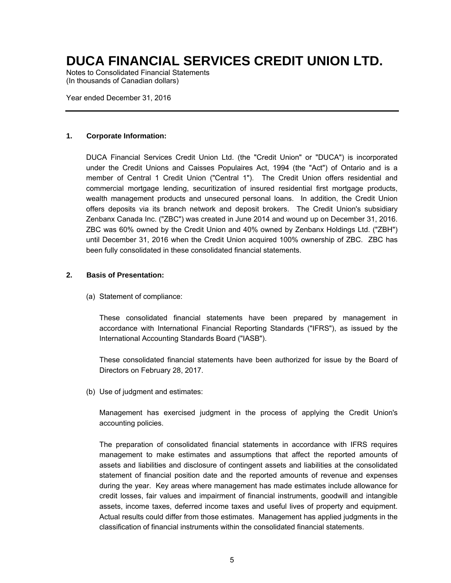Notes to Consolidated Financial Statements (In thousands of Canadian dollars)

Year ended December 31, 2016

#### **1. Corporate Information:**

DUCA Financial Services Credit Union Ltd. (the "Credit Union" or "DUCA") is incorporated under the Credit Unions and Caisses Populaires Act, 1994 (the "Act") of Ontario and is a member of Central 1 Credit Union ("Central 1"). The Credit Union offers residential and commercial mortgage lending, securitization of insured residential first mortgage products, wealth management products and unsecured personal loans. In addition, the Credit Union offers deposits via its branch network and deposit brokers. The Credit Union's subsidiary Zenbanx Canada Inc. ("ZBC") was created in June 2014 and wound up on December 31, 2016. ZBC was 60% owned by the Credit Union and 40% owned by Zenbanx Holdings Ltd. ("ZBH") until December 31, 2016 when the Credit Union acquired 100% ownership of ZBC. ZBC has been fully consolidated in these consolidated financial statements.

#### **2. Basis of Presentation:**

(a) Statement of compliance:

These consolidated financial statements have been prepared by management in accordance with International Financial Reporting Standards ("IFRS"), as issued by the International Accounting Standards Board ("IASB").

These consolidated financial statements have been authorized for issue by the Board of Directors on February 28, 2017.

(b) Use of judgment and estimates:

Management has exercised judgment in the process of applying the Credit Union's accounting policies.

The preparation of consolidated financial statements in accordance with IFRS requires management to make estimates and assumptions that affect the reported amounts of assets and liabilities and disclosure of contingent assets and liabilities at the consolidated statement of financial position date and the reported amounts of revenue and expenses during the year. Key areas where management has made estimates include allowance for credit losses, fair values and impairment of financial instruments, goodwill and intangible assets, income taxes, deferred income taxes and useful lives of property and equipment. Actual results could differ from those estimates. Management has applied judgments in the classification of financial instruments within the consolidated financial statements.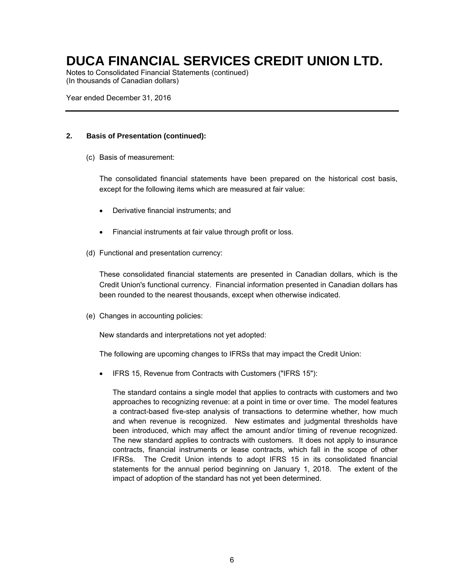Notes to Consolidated Financial Statements (continued) (In thousands of Canadian dollars)

Year ended December 31, 2016

#### **2. Basis of Presentation (continued):**

(c) Basis of measurement:

The consolidated financial statements have been prepared on the historical cost basis, except for the following items which are measured at fair value:

- Derivative financial instruments; and
- Financial instruments at fair value through profit or loss.
- (d) Functional and presentation currency:

These consolidated financial statements are presented in Canadian dollars, which is the Credit Union's functional currency. Financial information presented in Canadian dollars has been rounded to the nearest thousands, except when otherwise indicated.

(e) Changes in accounting policies:

New standards and interpretations not yet adopted:

The following are upcoming changes to IFRSs that may impact the Credit Union:

• IFRS 15, Revenue from Contracts with Customers ("IFRS 15"):

The standard contains a single model that applies to contracts with customers and two approaches to recognizing revenue: at a point in time or over time. The model features a contract-based five-step analysis of transactions to determine whether, how much and when revenue is recognized. New estimates and judgmental thresholds have been introduced, which may affect the amount and/or timing of revenue recognized. The new standard applies to contracts with customers. It does not apply to insurance contracts, financial instruments or lease contracts, which fall in the scope of other IFRSs. The Credit Union intends to adopt IFRS 15 in its consolidated financial statements for the annual period beginning on January 1, 2018. The extent of the impact of adoption of the standard has not yet been determined.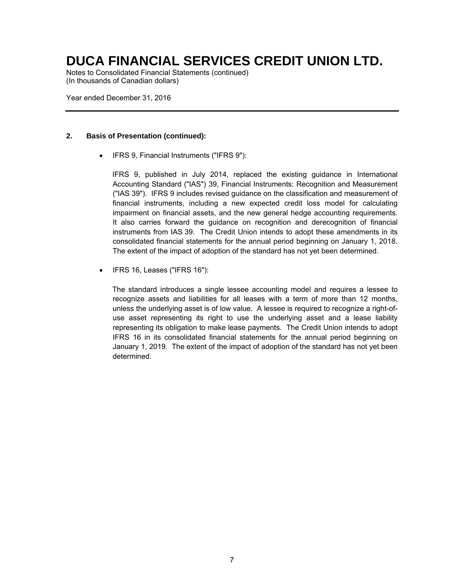Notes to Consolidated Financial Statements (continued) (In thousands of Canadian dollars)

Year ended December 31, 2016

#### **2. Basis of Presentation (continued):**

IFRS 9, Financial Instruments ("IFRS 9"):

IFRS 9, published in July 2014, replaced the existing guidance in International Accounting Standard ("IAS") 39, Financial Instruments: Recognition and Measurement ("IAS 39"). IFRS 9 includes revised guidance on the classification and measurement of financial instruments, including a new expected credit loss model for calculating impairment on financial assets, and the new general hedge accounting requirements. It also carries forward the guidance on recognition and derecognition of financial instruments from IAS 39. The Credit Union intends to adopt these amendments in its consolidated financial statements for the annual period beginning on January 1, 2018. The extent of the impact of adoption of the standard has not yet been determined.

• IFRS 16, Leases ("IFRS 16"):

The standard introduces a single lessee accounting model and requires a lessee to recognize assets and liabilities for all leases with a term of more than 12 months, unless the underlying asset is of low value. A lessee is required to recognize a right-ofuse asset representing its right to use the underlying asset and a lease liability representing its obligation to make lease payments. The Credit Union intends to adopt IFRS 16 in its consolidated financial statements for the annual period beginning on January 1, 2019. The extent of the impact of adoption of the standard has not yet been determined.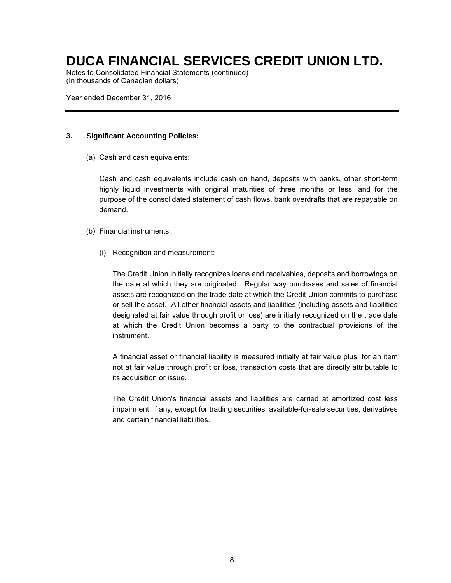Notes to Consolidated Financial Statements (continued) (In thousands of Canadian dollars)

Year ended December 31, 2016

#### **3. Significant Accounting Policies:**

(a) Cash and cash equivalents:

Cash and cash equivalents include cash on hand, deposits with banks, other short-term highly liquid investments with original maturities of three months or less; and for the purpose of the consolidated statement of cash flows, bank overdrafts that are repayable on demand.

- (b) Financial instruments:
	- (i) Recognition and measurement:

The Credit Union initially recognizes loans and receivables, deposits and borrowings on the date at which they are originated. Regular way purchases and sales of financial assets are recognized on the trade date at which the Credit Union commits to purchase or sell the asset. All other financial assets and liabilities (including assets and liabilities designated at fair value through profit or loss) are initially recognized on the trade date at which the Credit Union becomes a party to the contractual provisions of the instrument.

A financial asset or financial liability is measured initially at fair value plus, for an item not at fair value through profit or loss, transaction costs that are directly attributable to its acquisition or issue.

The Credit Union's financial assets and liabilities are carried at amortized cost less impairment, if any, except for trading securities, available-for-sale securities, derivatives and certain financial liabilities.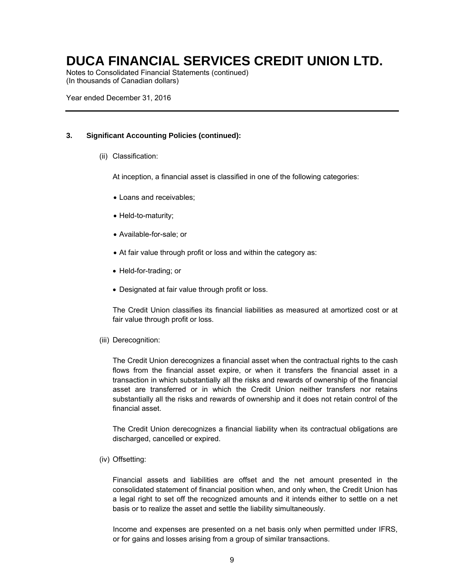Notes to Consolidated Financial Statements (continued) (In thousands of Canadian dollars)

Year ended December 31, 2016

#### **3. Significant Accounting Policies (continued):**

(ii) Classification:

At inception, a financial asset is classified in one of the following categories:

- Loans and receivables;
- Held-to-maturity;
- Available-for-sale; or
- At fair value through profit or loss and within the category as:
- Held-for-trading; or
- Designated at fair value through profit or loss.

The Credit Union classifies its financial liabilities as measured at amortized cost or at fair value through profit or loss.

(iii) Derecognition:

The Credit Union derecognizes a financial asset when the contractual rights to the cash flows from the financial asset expire, or when it transfers the financial asset in a transaction in which substantially all the risks and rewards of ownership of the financial asset are transferred or in which the Credit Union neither transfers nor retains substantially all the risks and rewards of ownership and it does not retain control of the financial asset.

The Credit Union derecognizes a financial liability when its contractual obligations are discharged, cancelled or expired.

(iv) Offsetting:

Financial assets and liabilities are offset and the net amount presented in the consolidated statement of financial position when, and only when, the Credit Union has a legal right to set off the recognized amounts and it intends either to settle on a net basis or to realize the asset and settle the liability simultaneously.

Income and expenses are presented on a net basis only when permitted under IFRS, or for gains and losses arising from a group of similar transactions.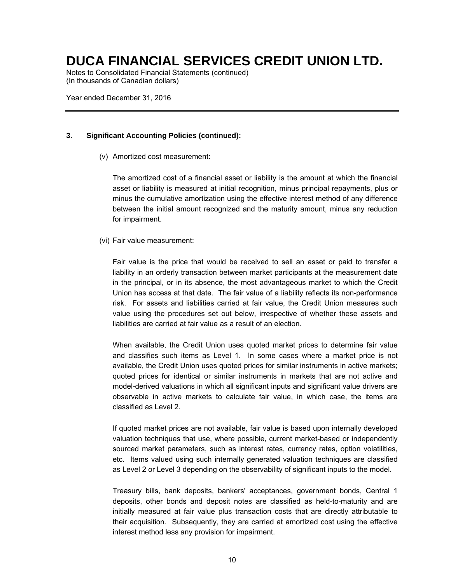Notes to Consolidated Financial Statements (continued) (In thousands of Canadian dollars)

Year ended December 31, 2016

#### **3. Significant Accounting Policies (continued):**

(v) Amortized cost measurement:

The amortized cost of a financial asset or liability is the amount at which the financial asset or liability is measured at initial recognition, minus principal repayments, plus or minus the cumulative amortization using the effective interest method of any difference between the initial amount recognized and the maturity amount, minus any reduction for impairment.

#### (vi) Fair value measurement:

Fair value is the price that would be received to sell an asset or paid to transfer a liability in an orderly transaction between market participants at the measurement date in the principal, or in its absence, the most advantageous market to which the Credit Union has access at that date. The fair value of a liability reflects its non-performance risk. For assets and liabilities carried at fair value, the Credit Union measures such value using the procedures set out below, irrespective of whether these assets and liabilities are carried at fair value as a result of an election.

When available, the Credit Union uses quoted market prices to determine fair value and classifies such items as Level 1. In some cases where a market price is not available, the Credit Union uses quoted prices for similar instruments in active markets; quoted prices for identical or similar instruments in markets that are not active and model-derived valuations in which all significant inputs and significant value drivers are observable in active markets to calculate fair value, in which case, the items are classified as Level 2.

If quoted market prices are not available, fair value is based upon internally developed valuation techniques that use, where possible, current market-based or independently sourced market parameters, such as interest rates, currency rates, option volatilities, etc. Items valued using such internally generated valuation techniques are classified as Level 2 or Level 3 depending on the observability of significant inputs to the model.

Treasury bills, bank deposits, bankers' acceptances, government bonds, Central 1 deposits, other bonds and deposit notes are classified as held-to-maturity and are initially measured at fair value plus transaction costs that are directly attributable to their acquisition. Subsequently, they are carried at amortized cost using the effective interest method less any provision for impairment.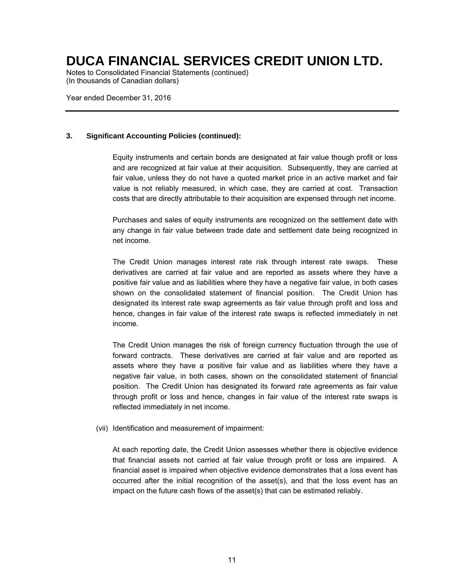Notes to Consolidated Financial Statements (continued) (In thousands of Canadian dollars)

Year ended December 31, 2016

#### **3. Significant Accounting Policies (continued):**

Equity instruments and certain bonds are designated at fair value though profit or loss and are recognized at fair value at their acquisition. Subsequently, they are carried at fair value, unless they do not have a quoted market price in an active market and fair value is not reliably measured, in which case, they are carried at cost. Transaction costs that are directly attributable to their acquisition are expensed through net income.

Purchases and sales of equity instruments are recognized on the settlement date with any change in fair value between trade date and settlement date being recognized in net income.

The Credit Union manages interest rate risk through interest rate swaps. These derivatives are carried at fair value and are reported as assets where they have a positive fair value and as liabilities where they have a negative fair value, in both cases shown on the consolidated statement of financial position. The Credit Union has designated its interest rate swap agreements as fair value through profit and loss and hence, changes in fair value of the interest rate swaps is reflected immediately in net income.

The Credit Union manages the risk of foreign currency fluctuation through the use of forward contracts. These derivatives are carried at fair value and are reported as assets where they have a positive fair value and as liabilities where they have a negative fair value, in both cases, shown on the consolidated statement of financial position. The Credit Union has designated its forward rate agreements as fair value through profit or loss and hence, changes in fair value of the interest rate swaps is reflected immediately in net income.

(vii) Identification and measurement of impairment:

At each reporting date, the Credit Union assesses whether there is objective evidence that financial assets not carried at fair value through profit or loss are impaired. A financial asset is impaired when objective evidence demonstrates that a loss event has occurred after the initial recognition of the asset(s), and that the loss event has an impact on the future cash flows of the asset(s) that can be estimated reliably.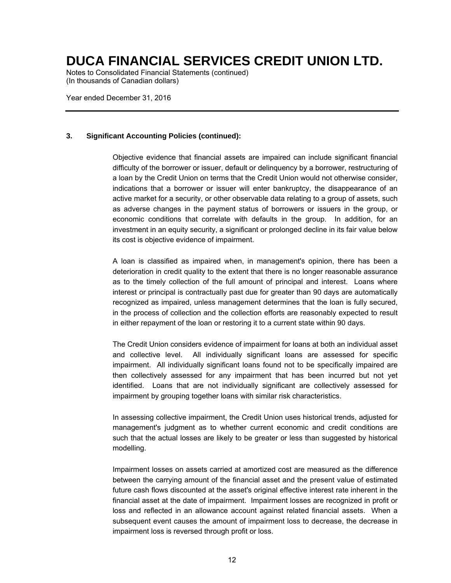Notes to Consolidated Financial Statements (continued) (In thousands of Canadian dollars)

Year ended December 31, 2016

#### **3. Significant Accounting Policies (continued):**

Objective evidence that financial assets are impaired can include significant financial difficulty of the borrower or issuer, default or delinquency by a borrower, restructuring of a loan by the Credit Union on terms that the Credit Union would not otherwise consider, indications that a borrower or issuer will enter bankruptcy, the disappearance of an active market for a security, or other observable data relating to a group of assets, such as adverse changes in the payment status of borrowers or issuers in the group, or economic conditions that correlate with defaults in the group. In addition, for an investment in an equity security, a significant or prolonged decline in its fair value below its cost is objective evidence of impairment.

A loan is classified as impaired when, in management's opinion, there has been a deterioration in credit quality to the extent that there is no longer reasonable assurance as to the timely collection of the full amount of principal and interest. Loans where interest or principal is contractually past due for greater than 90 days are automatically recognized as impaired, unless management determines that the loan is fully secured, in the process of collection and the collection efforts are reasonably expected to result in either repayment of the loan or restoring it to a current state within 90 days.

The Credit Union considers evidence of impairment for loans at both an individual asset and collective level. All individually significant loans are assessed for specific impairment. All individually significant loans found not to be specifically impaired are then collectively assessed for any impairment that has been incurred but not yet identified. Loans that are not individually significant are collectively assessed for impairment by grouping together loans with similar risk characteristics.

In assessing collective impairment, the Credit Union uses historical trends, adjusted for management's judgment as to whether current economic and credit conditions are such that the actual losses are likely to be greater or less than suggested by historical modelling.

Impairment losses on assets carried at amortized cost are measured as the difference between the carrying amount of the financial asset and the present value of estimated future cash flows discounted at the asset's original effective interest rate inherent in the financial asset at the date of impairment. Impairment losses are recognized in profit or loss and reflected in an allowance account against related financial assets. When a subsequent event causes the amount of impairment loss to decrease, the decrease in impairment loss is reversed through profit or loss.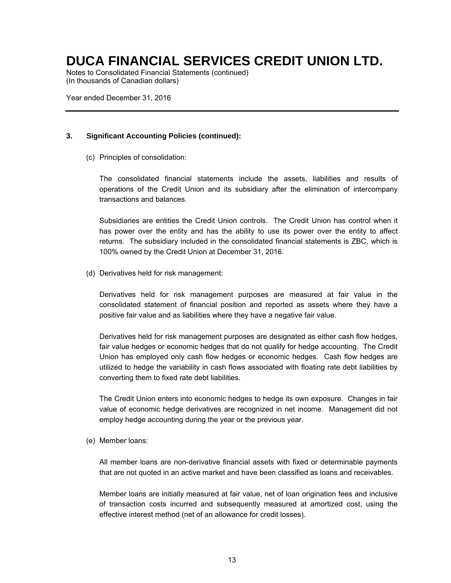Notes to Consolidated Financial Statements (continued) (In thousands of Canadian dollars)

Year ended December 31, 2016

#### **3. Significant Accounting Policies (continued):**

(c) Principles of consolidation:

The consolidated financial statements include the assets, liabilities and results of operations of the Credit Union and its subsidiary after the elimination of intercompany transactions and balances.

Subsidiaries are entities the Credit Union controls. The Credit Union has control when it has power over the entity and has the ability to use its power over the entity to affect returns. The subsidiary included in the consolidated financial statements is ZBC, which is 100% owned by the Credit Union at December 31, 2016.

(d) Derivatives held for risk management:

Derivatives held for risk management purposes are measured at fair value in the consolidated statement of financial position and reported as assets where they have a positive fair value and as liabilities where they have a negative fair value.

Derivatives held for risk management purposes are designated as either cash flow hedges, fair value hedges or economic hedges that do not qualify for hedge accounting. The Credit Union has employed only cash flow hedges or economic hedges. Cash flow hedges are utilized to hedge the variability in cash flows associated with floating rate debt liabilities by converting them to fixed rate debt liabilities.

The Credit Union enters into economic hedges to hedge its own exposure. Changes in fair value of economic hedge derivatives are recognized in net income. Management did not employ hedge accounting during the year or the previous year.

(e) Member loans:

All member loans are non-derivative financial assets with fixed or determinable payments that are not quoted in an active market and have been classified as loans and receivables.

Member loans are initially measured at fair value, net of loan origination fees and inclusive of transaction costs incurred and subsequently measured at amortized cost, using the effective interest method (net of an allowance for credit losses).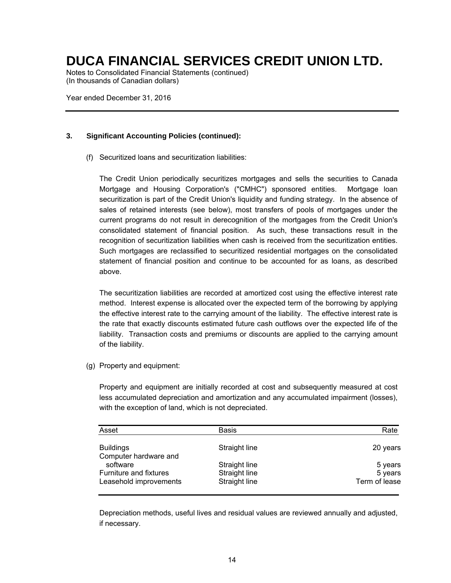Notes to Consolidated Financial Statements (continued) (In thousands of Canadian dollars)

Year ended December 31, 2016

#### **3. Significant Accounting Policies (continued):**

(f) Securitized loans and securitization liabilities:

The Credit Union periodically securitizes mortgages and sells the securities to Canada Mortgage and Housing Corporation's ("CMHC") sponsored entities. Mortgage loan securitization is part of the Credit Union's liquidity and funding strategy. In the absence of sales of retained interests (see below), most transfers of pools of mortgages under the current programs do not result in derecognition of the mortgages from the Credit Union's consolidated statement of financial position. As such, these transactions result in the recognition of securitization liabilities when cash is received from the securitization entities. Such mortgages are reclassified to securitized residential mortgages on the consolidated statement of financial position and continue to be accounted for as loans, as described above.

The securitization liabilities are recorded at amortized cost using the effective interest rate method. Interest expense is allocated over the expected term of the borrowing by applying the effective interest rate to the carrying amount of the liability. The effective interest rate is the rate that exactly discounts estimated future cash outflows over the expected life of the liability. Transaction costs and premiums or discounts are applied to the carrying amount of the liability.

(g) Property and equipment:

Property and equipment are initially recorded at cost and subsequently measured at cost less accumulated depreciation and amortization and any accumulated impairment (losses), with the exception of land, which is not depreciated.

| Asset                                     | <b>Basis</b>  | Rate          |
|-------------------------------------------|---------------|---------------|
| <b>Buildings</b><br>Computer hardware and | Straight line | 20 years      |
| software                                  | Straight line | 5 years       |
| Furniture and fixtures                    | Straight line | 5 years       |
| Leasehold improvements                    | Straight line | Term of lease |

Depreciation methods, useful lives and residual values are reviewed annually and adjusted, if necessary.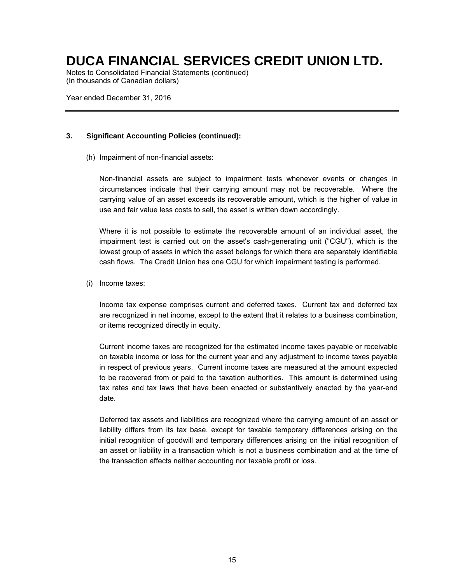Notes to Consolidated Financial Statements (continued) (In thousands of Canadian dollars)

Year ended December 31, 2016

#### **3. Significant Accounting Policies (continued):**

(h) Impairment of non-financial assets:

Non-financial assets are subject to impairment tests whenever events or changes in circumstances indicate that their carrying amount may not be recoverable. Where the carrying value of an asset exceeds its recoverable amount, which is the higher of value in use and fair value less costs to sell, the asset is written down accordingly.

Where it is not possible to estimate the recoverable amount of an individual asset, the impairment test is carried out on the asset's cash-generating unit ("CGU"), which is the lowest group of assets in which the asset belongs for which there are separately identifiable cash flows. The Credit Union has one CGU for which impairment testing is performed.

(i) Income taxes:

Income tax expense comprises current and deferred taxes. Current tax and deferred tax are recognized in net income, except to the extent that it relates to a business combination, or items recognized directly in equity.

Current income taxes are recognized for the estimated income taxes payable or receivable on taxable income or loss for the current year and any adjustment to income taxes payable in respect of previous years. Current income taxes are measured at the amount expected to be recovered from or paid to the taxation authorities. This amount is determined using tax rates and tax laws that have been enacted or substantively enacted by the year-end date.

Deferred tax assets and liabilities are recognized where the carrying amount of an asset or liability differs from its tax base, except for taxable temporary differences arising on the initial recognition of goodwill and temporary differences arising on the initial recognition of an asset or liability in a transaction which is not a business combination and at the time of the transaction affects neither accounting nor taxable profit or loss.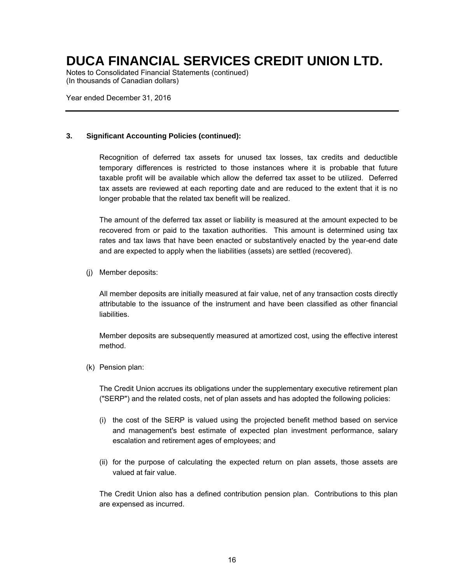Notes to Consolidated Financial Statements (continued) (In thousands of Canadian dollars)

Year ended December 31, 2016

#### **3. Significant Accounting Policies (continued):**

Recognition of deferred tax assets for unused tax losses, tax credits and deductible temporary differences is restricted to those instances where it is probable that future taxable profit will be available which allow the deferred tax asset to be utilized. Deferred tax assets are reviewed at each reporting date and are reduced to the extent that it is no longer probable that the related tax benefit will be realized.

The amount of the deferred tax asset or liability is measured at the amount expected to be recovered from or paid to the taxation authorities. This amount is determined using tax rates and tax laws that have been enacted or substantively enacted by the year-end date and are expected to apply when the liabilities (assets) are settled (recovered).

(j) Member deposits:

All member deposits are initially measured at fair value, net of any transaction costs directly attributable to the issuance of the instrument and have been classified as other financial liabilities.

Member deposits are subsequently measured at amortized cost, using the effective interest method.

(k) Pension plan:

The Credit Union accrues its obligations under the supplementary executive retirement plan ("SERP") and the related costs, net of plan assets and has adopted the following policies:

- (i) the cost of the SERP is valued using the projected benefit method based on service and management's best estimate of expected plan investment performance, salary escalation and retirement ages of employees; and
- (ii) for the purpose of calculating the expected return on plan assets, those assets are valued at fair value.

The Credit Union also has a defined contribution pension plan. Contributions to this plan are expensed as incurred.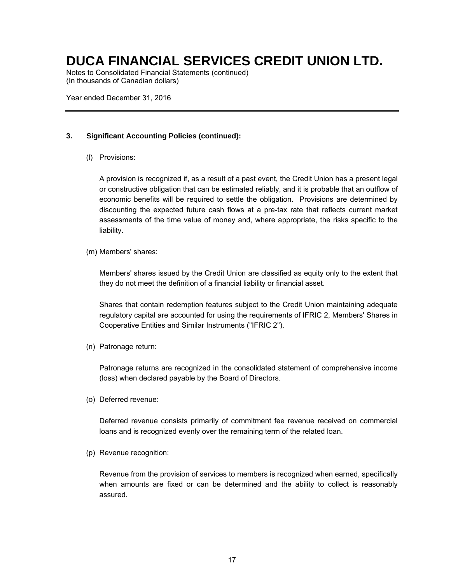Notes to Consolidated Financial Statements (continued) (In thousands of Canadian dollars)

Year ended December 31, 2016

#### **3. Significant Accounting Policies (continued):**

(l) Provisions:

A provision is recognized if, as a result of a past event, the Credit Union has a present legal or constructive obligation that can be estimated reliably, and it is probable that an outflow of economic benefits will be required to settle the obligation. Provisions are determined by discounting the expected future cash flows at a pre-tax rate that reflects current market assessments of the time value of money and, where appropriate, the risks specific to the liability.

(m) Members' shares:

Members' shares issued by the Credit Union are classified as equity only to the extent that they do not meet the definition of a financial liability or financial asset.

Shares that contain redemption features subject to the Credit Union maintaining adequate regulatory capital are accounted for using the requirements of IFRIC 2, Members' Shares in Cooperative Entities and Similar Instruments ("IFRIC 2").

(n) Patronage return:

Patronage returns are recognized in the consolidated statement of comprehensive income (loss) when declared payable by the Board of Directors.

(o) Deferred revenue:

Deferred revenue consists primarily of commitment fee revenue received on commercial loans and is recognized evenly over the remaining term of the related loan.

(p) Revenue recognition:

Revenue from the provision of services to members is recognized when earned, specifically when amounts are fixed or can be determined and the ability to collect is reasonably assured.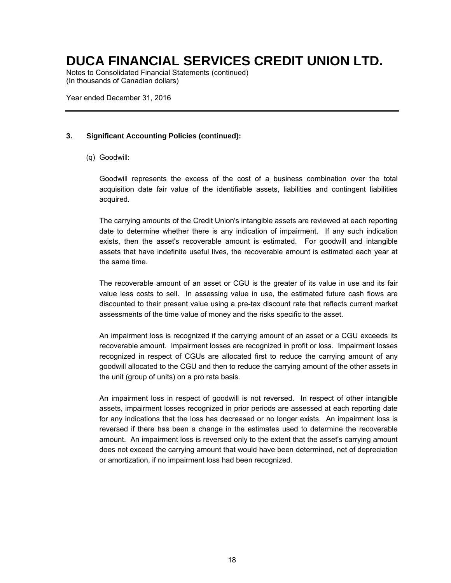Notes to Consolidated Financial Statements (continued) (In thousands of Canadian dollars)

Year ended December 31, 2016

#### **3. Significant Accounting Policies (continued):**

(q) Goodwill:

Goodwill represents the excess of the cost of a business combination over the total acquisition date fair value of the identifiable assets, liabilities and contingent liabilities acquired.

The carrying amounts of the Credit Union's intangible assets are reviewed at each reporting date to determine whether there is any indication of impairment. If any such indication exists, then the asset's recoverable amount is estimated. For goodwill and intangible assets that have indefinite useful lives, the recoverable amount is estimated each year at the same time.

The recoverable amount of an asset or CGU is the greater of its value in use and its fair value less costs to sell. In assessing value in use, the estimated future cash flows are discounted to their present value using a pre-tax discount rate that reflects current market assessments of the time value of money and the risks specific to the asset.

An impairment loss is recognized if the carrying amount of an asset or a CGU exceeds its recoverable amount. Impairment losses are recognized in profit or loss. Impairment losses recognized in respect of CGUs are allocated first to reduce the carrying amount of any goodwill allocated to the CGU and then to reduce the carrying amount of the other assets in the unit (group of units) on a pro rata basis.

An impairment loss in respect of goodwill is not reversed. In respect of other intangible assets, impairment losses recognized in prior periods are assessed at each reporting date for any indications that the loss has decreased or no longer exists. An impairment loss is reversed if there has been a change in the estimates used to determine the recoverable amount. An impairment loss is reversed only to the extent that the asset's carrying amount does not exceed the carrying amount that would have been determined, net of depreciation or amortization, if no impairment loss had been recognized.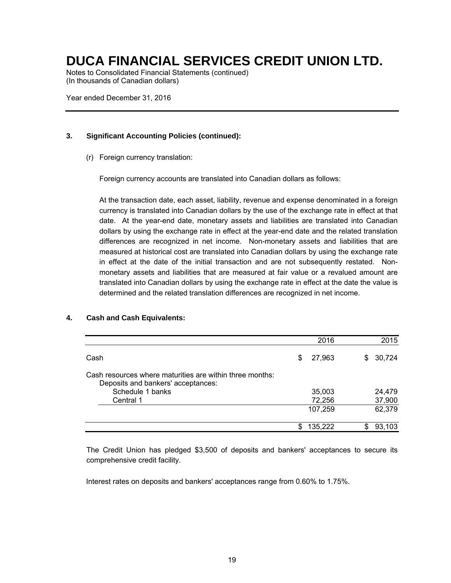Notes to Consolidated Financial Statements (continued) (In thousands of Canadian dollars)

Year ended December 31, 2016

#### **3. Significant Accounting Policies (continued):**

(r) Foreign currency translation:

Foreign currency accounts are translated into Canadian dollars as follows:

At the transaction date, each asset, liability, revenue and expense denominated in a foreign currency is translated into Canadian dollars by the use of the exchange rate in effect at that date. At the year-end date, monetary assets and liabilities are translated into Canadian dollars by using the exchange rate in effect at the year-end date and the related translation differences are recognized in net income. Non-monetary assets and liabilities that are measured at historical cost are translated into Canadian dollars by using the exchange rate in effect at the date of the initial transaction and are not subsequently restated. Nonmonetary assets and liabilities that are measured at fair value or a revalued amount are translated into Canadian dollars by using the exchange rate in effect at the date the value is determined and the related translation differences are recognized in net income.

|                                                                                                |    | 2016    |     | 2015   |
|------------------------------------------------------------------------------------------------|----|---------|-----|--------|
| Cash                                                                                           | \$ | 27,963  | SS. | 30,724 |
| Cash resources where maturities are within three months:<br>Deposits and bankers' acceptances: |    |         |     |        |
| Schedule 1 banks                                                                               |    | 35,003  |     | 24.479 |
| Central 1                                                                                      |    | 72,256  |     | 37,900 |
|                                                                                                |    | 107,259 |     | 62,379 |
|                                                                                                | S  | 135,222 |     | 93,103 |

#### **4. Cash and Cash Equivalents:**

The Credit Union has pledged \$3,500 of deposits and bankers' acceptances to secure its comprehensive credit facility.

Interest rates on deposits and bankers' acceptances range from 0.60% to 1.75%.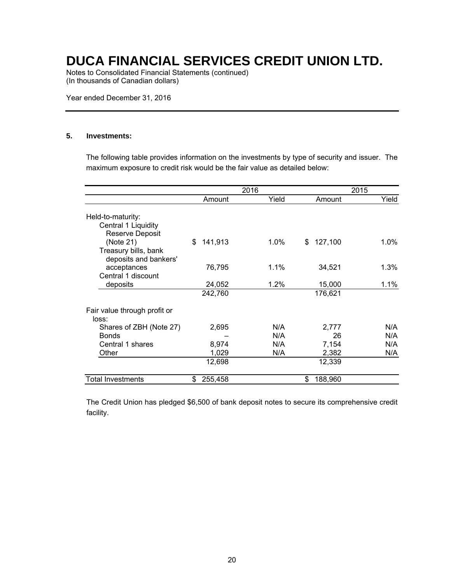Notes to Consolidated Financial Statements (continued) (In thousands of Canadian dollars)

Year ended December 31, 2016

#### **5. Investments:**

The following table provides information on the investments by type of security and issuer. The maximum exposure to credit risk would be the fair value as detailed below:

|                                                                                      | 2016            |              |                 | 2015       |
|--------------------------------------------------------------------------------------|-----------------|--------------|-----------------|------------|
|                                                                                      | Amount          | Yield        | Amount          | Yield      |
| Held-to-maturity:<br>Central 1 Liquidity                                             |                 |              |                 |            |
| <b>Reserve Deposit</b><br>(Note 21)<br>Treasury bills, bank<br>deposits and bankers' | 141,913<br>\$   | $1.0\%$<br>S | 127,100         | $1.0\%$    |
| acceptances<br>Central 1 discount                                                    | 76,795          | 1.1%         | 34,521          | $1.3\%$    |
| deposits                                                                             | 24,052          | $1.2\%$      | 15,000          | $1.1\%$    |
|                                                                                      | 242,760         |              | 176,621         |            |
| Fair value through profit or<br>loss:                                                |                 |              |                 |            |
| Shares of ZBH (Note 27)<br><b>Bonds</b>                                              | 2,695           | N/A<br>N/A   | 2,777<br>26     | N/A<br>N/A |
| Central 1 shares                                                                     | 8,974           | N/A          | 7,154           | N/A        |
| Other                                                                                | 1,029<br>12,698 | N/A          | 2,382<br>12,339 | N/A        |
| <b>Total Investments</b>                                                             | \$<br>255,458   | \$           | 188,960         |            |

The Credit Union has pledged \$6,500 of bank deposit notes to secure its comprehensive credit facility.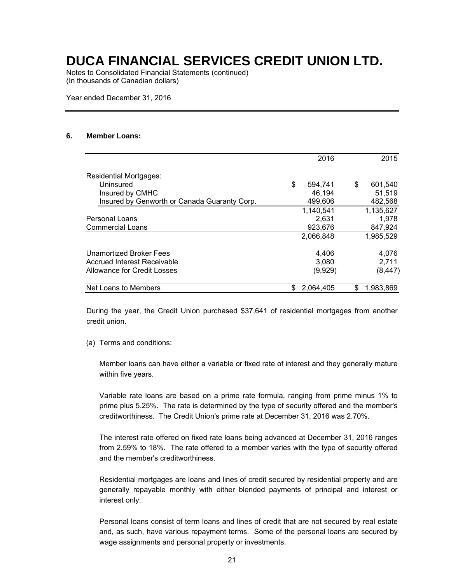Notes to Consolidated Financial Statements (continued) (In thousands of Canadian dollars)

Year ended December 31, 2016

#### **6. Member Loans:**

|                                              | 2016          |     | 2015      |
|----------------------------------------------|---------------|-----|-----------|
| <b>Residential Mortgages:</b>                |               |     |           |
| Uninsured                                    | \$<br>594.741 | \$  | 601,540   |
| Insured by CMHC                              | 46.194        |     | 51.519    |
| Insured by Genworth or Canada Guaranty Corp. | 499,606       |     | 482,568   |
|                                              | 1,140,541     |     | 1,135,627 |
| Personal Loans                               | 2.631         |     | 1.978     |
| <b>Commercial Loans</b>                      | 923,676       |     | 847,924   |
|                                              | 2,066,848     |     | 1,985,529 |
| Unamortized Broker Fees                      | 4,406         |     | 4,076     |
| Accrued Interest Receivable                  | 3.080         |     | 2.711     |
| Allowance for Credit Losses                  | (9,929)       |     | (8, 447)  |
| Net Loans to Members                         | 2.064.405     | \$. | 1.983.869 |

During the year, the Credit Union purchased \$37,641 of residential mortgages from another credit union.

(a) Terms and conditions:

Member loans can have either a variable or fixed rate of interest and they generally mature within five years.

Variable rate loans are based on a prime rate formula, ranging from prime minus 1% to prime plus 5.25%. The rate is determined by the type of security offered and the member's creditworthiness. The Credit Union's prime rate at December 31, 2016 was 2.70%.

The interest rate offered on fixed rate loans being advanced at December 31, 2016 ranges from 2.59% to 18%. The rate offered to a member varies with the type of security offered and the member's creditworthiness.

Residential mortgages are loans and lines of credit secured by residential property and are generally repayable monthly with either blended payments of principal and interest or interest only.

Personal loans consist of term loans and lines of credit that are not secured by real estate and, as such, have various repayment terms. Some of the personal loans are secured by wage assignments and personal property or investments.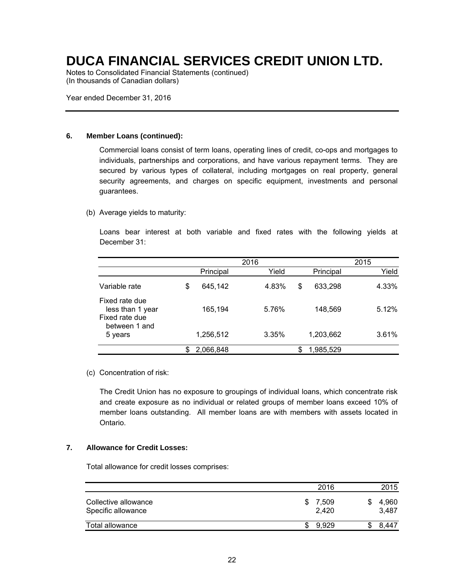Notes to Consolidated Financial Statements (continued) (In thousands of Canadian dollars)

Year ended December 31, 2016

#### **6. Member Loans (continued):**

Commercial loans consist of term loans, operating lines of credit, co-ops and mortgages to individuals, partnerships and corporations, and have various repayment terms. They are secured by various types of collateral, including mortgages on real property, general security agreements, and charges on specific equipment, investments and personal guarantees.

#### (b) Average yields to maturity:

Loans bear interest at both variable and fixed rates with the following yields at December 31:

|                                                      |    |           |       | 2015 |           |       |
|------------------------------------------------------|----|-----------|-------|------|-----------|-------|
|                                                      |    | Principal | Yield |      | Principal | Yield |
| Variable rate                                        | \$ | 645,142   | 4.83% | \$   | 633,298   | 4.33% |
| Fixed rate due<br>less than 1 year<br>Fixed rate due |    | 165,194   | 5.76% |      | 148.569   | 5.12% |
| between 1 and<br>5 years                             |    | 1,256,512 | 3.35% |      | 1,203,662 | 3.61% |
|                                                      | S  | 2,066,848 |       | S    | 1,985,529 |       |

#### (c) Concentration of risk:

The Credit Union has no exposure to groupings of individual loans, which concentrate risk and create exposure as no individual or related groups of member loans exceed 10% of member loans outstanding. All member loans are with members with assets located in Ontario.

#### **7. Allowance for Credit Losses:**

Total allowance for credit losses comprises:

|                                            |   | 2016           |   | 2015           |
|--------------------------------------------|---|----------------|---|----------------|
| Collective allowance<br>Specific allowance | S | 7.509<br>2.420 | S | 4,960<br>3.487 |
| Total allowance                            | S | 9.929          | S | 8,447          |
|                                            |   |                |   |                |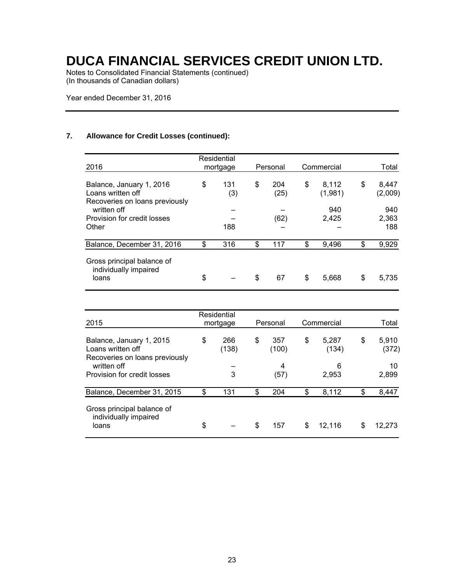Notes to Consolidated Financial Statements (continued) (In thousands of Canadian dollars)

Year ended December 31, 2016

### **7. Allowance for Credit Losses (continued):**

| 2016                                                                            | Residential<br>mortgage | Personal          | Commercial             | Total                  |
|---------------------------------------------------------------------------------|-------------------------|-------------------|------------------------|------------------------|
| Balance, January 1, 2016<br>Loans written off<br>Recoveries on loans previously | \$<br>131<br>(3)        | \$<br>204<br>(25) | \$<br>8,112<br>(1,981) | \$<br>8,447<br>(2,009) |
| written off<br>Provision for credit losses<br>Other                             | 188                     | (62)              | 940<br>2,425           | 940<br>2,363<br>188    |
| Balance, December 31, 2016                                                      | \$<br>316               | \$<br>117         | \$<br>9,496            | \$<br>9,929            |
| Gross principal balance of<br>individually impaired<br>loans                    | \$                      | \$<br>67          | \$<br>5.668            | \$<br>5.735            |

| 2015                                                                         | Residential<br>mortgage | Personal           | Commercial           |    | Total          |
|------------------------------------------------------------------------------|-------------------------|--------------------|----------------------|----|----------------|
| Balance, January 1, 2015<br>Loans written off                                | \$<br>266<br>(138)      | \$<br>357<br>(100) | \$<br>5.287<br>(134) | \$ | 5.910<br>(372) |
| Recoveries on loans previously<br>written off<br>Provision for credit losses | 3                       | 4<br>(57)          | 6<br>2,953           |    | 10<br>2,899    |
| Balance, December 31, 2015                                                   | \$<br>131               | \$<br>204          | \$<br>8,112          | \$ | 8,447          |
| Gross principal balance of<br>individually impaired<br>loans                 | \$                      | \$<br>157          | \$<br>12.116         | S  | 12.273         |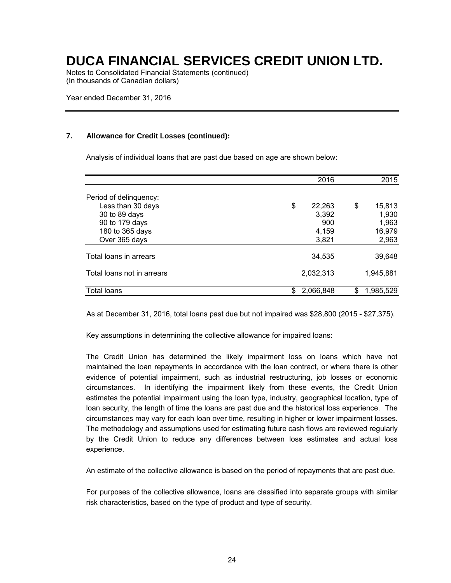Notes to Consolidated Financial Statements (continued) (In thousands of Canadian dollars)

Year ended December 31, 2016

#### **7. Allowance for Credit Losses (continued):**

Analysis of individual loans that are past due based on age are shown below:

|                            | 2016            | 2015            |
|----------------------------|-----------------|-----------------|
| Period of delinquency:     |                 |                 |
| Less than 30 days          | \$<br>22,263    | \$<br>15,813    |
| 30 to 89 days              | 3,392           | 1,930           |
| 90 to 179 days             | 900             | 1,963           |
| 180 to 365 days            | 4,159           | 16,979          |
| Over 365 days              | 3,821           | 2,963           |
| Total loans in arrears     | 34,535          | 39,648          |
| Total loans not in arrears | 2,032,313       | 1,945,881       |
| Total loans                | 2,066,848<br>\$ | 1,985,529<br>\$ |

As at December 31, 2016, total loans past due but not impaired was \$28,800 (2015 - \$27,375).

Key assumptions in determining the collective allowance for impaired loans:

The Credit Union has determined the likely impairment loss on loans which have not maintained the loan repayments in accordance with the loan contract, or where there is other evidence of potential impairment, such as industrial restructuring, job losses or economic circumstances. In identifying the impairment likely from these events, the Credit Union estimates the potential impairment using the loan type, industry, geographical location, type of loan security, the length of time the loans are past due and the historical loss experience. The circumstances may vary for each loan over time, resulting in higher or lower impairment losses. The methodology and assumptions used for estimating future cash flows are reviewed regularly by the Credit Union to reduce any differences between loss estimates and actual loss experience.

An estimate of the collective allowance is based on the period of repayments that are past due.

For purposes of the collective allowance, loans are classified into separate groups with similar risk characteristics, based on the type of product and type of security.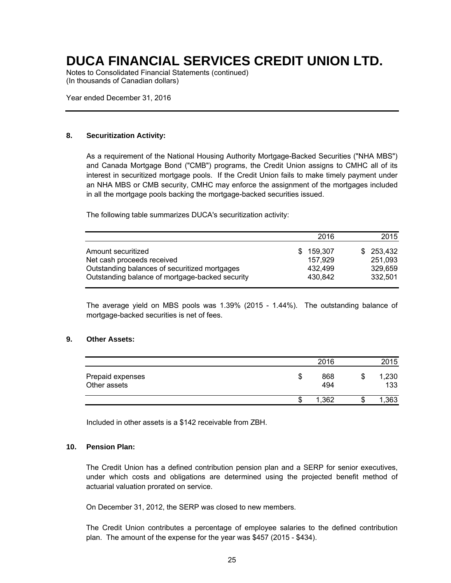Notes to Consolidated Financial Statements (continued) (In thousands of Canadian dollars)

Year ended December 31, 2016

#### **8. Securitization Activity:**

As a requirement of the National Housing Authority Mortgage-Backed Securities ("NHA MBS") and Canada Mortgage Bond ("CMB") programs, the Credit Union assigns to CMHC all of its interest in securitized mortgage pools. If the Credit Union fails to make timely payment under an NHA MBS or CMB security, CMHC may enforce the assignment of the mortgages included in all the mortgage pools backing the mortgage-backed securities issued.

The following table summarizes DUCA's securitization activity:

|                                                                                                                                                      | 2016                                            | 2015                                       |
|------------------------------------------------------------------------------------------------------------------------------------------------------|-------------------------------------------------|--------------------------------------------|
| Amount securitized<br>Net cash proceeds received<br>Outstanding balances of securitized mortgages<br>Outstanding balance of mortgage-backed security | 159.307<br>SS.<br>157.929<br>432.499<br>430.842 | \$253,432<br>251.093<br>329.659<br>332.501 |

The average yield on MBS pools was 1.39% (2015 - 1.44%). The outstanding balance of mortgage-backed securities is net of fees.

#### **9. Other Assets:**

|                                  |    | 2016       |    | 2015         |
|----------------------------------|----|------------|----|--------------|
| Prepaid expenses<br>Other assets | S  | 868<br>494 | \$ | 1,230<br>133 |
|                                  | κD | .362       | Œ  | ,363         |

Included in other assets is a \$142 receivable from ZBH.

#### **10. Pension Plan:**

The Credit Union has a defined contribution pension plan and a SERP for senior executives, under which costs and obligations are determined using the projected benefit method of actuarial valuation prorated on service.

On December 31, 2012, the SERP was closed to new members.

The Credit Union contributes a percentage of employee salaries to the defined contribution plan. The amount of the expense for the year was \$457 (2015 - \$434).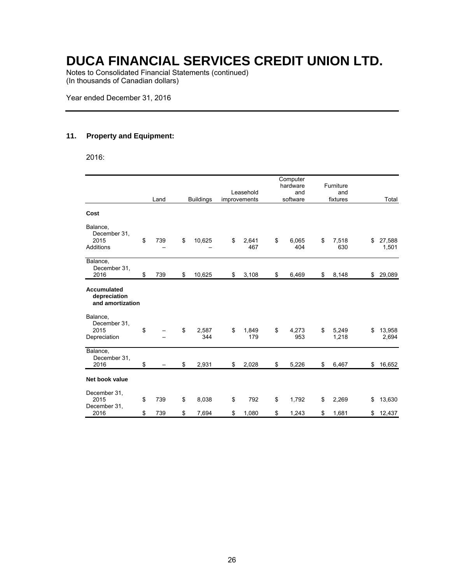Notes to Consolidated Financial Statements (continued) (In thousands of Canadian dollars)

Year ended December 31, 2016

### **11. Property and Equipment:**

2016:

|                                                        |    |      |                    |                    |                    | Leasehold            | Computer<br>hardware<br>and | Furniture<br>and |  |
|--------------------------------------------------------|----|------|--------------------|--------------------|--------------------|----------------------|-----------------------------|------------------|--|
|                                                        |    | Land | <b>Buildings</b>   | improvements       | software           | fixtures             | Total                       |                  |  |
| Cost                                                   |    |      |                    |                    |                    |                      |                             |                  |  |
| Balance,<br>December 31,<br>2015<br>Additions          | \$ | 739  | \$<br>10,625       | \$<br>2,641<br>467 | \$<br>6,065<br>404 | \$<br>7,518<br>630   | \$<br>27,588<br>1,501       |                  |  |
| Balance,<br>December 31,<br>2016                       | \$ | 739  | \$<br>10,625       | \$<br>3,108        | \$<br>6,469        | \$<br>8,148          | \$29,089                    |                  |  |
| <b>Accumulated</b><br>depreciation<br>and amortization |    |      |                    |                    |                    |                      |                             |                  |  |
| Balance,<br>December 31,<br>2015<br>Depreciation       | \$ |      | \$<br>2,587<br>344 | \$<br>1,849<br>179 | \$<br>4,273<br>953 | \$<br>5,249<br>1,218 | \$<br>13,958<br>2,694       |                  |  |
| Balance,<br>December 31,<br>2016                       | \$ |      | \$<br>2,931        | \$<br>2,028        | \$<br>5,226        | \$<br>6,467          | \$<br>16,652                |                  |  |
| Net book value                                         |    |      |                    |                    |                    |                      |                             |                  |  |
| December 31,<br>2015<br>December 31,                   | \$ | 739  | \$<br>8,038        | \$<br>792          | \$<br>1,792        | \$<br>2,269          | \$<br>13,630                |                  |  |
| 2016                                                   | \$ | 739  | \$<br>7,694        | \$<br>1,080        | \$<br>1,243        | \$<br>1,681          | \$<br>12,437                |                  |  |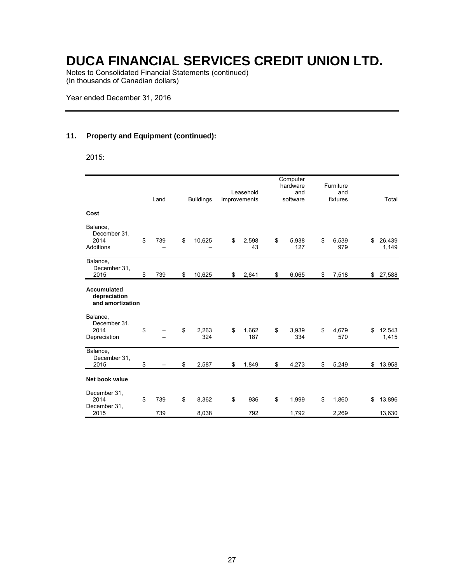Notes to Consolidated Financial Statements (continued) (In thousands of Canadian dollars)

Year ended December 31, 2016

### **11. Property and Equipment (continued):**

2015:

|                                                        |           |                    | Leasehold          | Computer<br>hardware<br>and | Furniture<br>and   |                       |
|--------------------------------------------------------|-----------|--------------------|--------------------|-----------------------------|--------------------|-----------------------|
|                                                        | Land      | <b>Buildings</b>   | improvements       | software                    | fixtures           | Total                 |
| Cost                                                   |           |                    |                    |                             |                    |                       |
| Balance,<br>December 31,<br>2014<br><b>Additions</b>   | \$<br>739 | \$<br>10,625       | \$<br>2,598<br>43  | \$<br>5,938<br>127          | \$<br>6,539<br>979 | \$<br>26,439<br>1,149 |
| Balance,<br>December 31.<br>2015                       | \$<br>739 | \$<br>10,625       | \$<br>2,641        | \$<br>6,065                 | \$<br>7,518        | \$27,588              |
| <b>Accumulated</b><br>depreciation<br>and amortization |           |                    |                    |                             |                    |                       |
| Balance,<br>December 31,<br>2014<br>Depreciation       | \$        | \$<br>2,263<br>324 | \$<br>1,662<br>187 | \$<br>3,939<br>334          | \$<br>4,679<br>570 | \$<br>12,543<br>1,415 |
| Balance,<br>December 31,<br>2015                       | \$        | \$<br>2,587        | \$<br>1,849        | \$<br>4,273                 | \$<br>5,249        | \$<br>13,958          |
| Net book value                                         |           |                    |                    |                             |                    |                       |
| December 31,<br>2014<br>December 31.                   | \$<br>739 | \$<br>8,362        | \$<br>936          | \$<br>1,999                 | \$<br>1,860        | \$<br>13,896          |
| 2015                                                   | 739       | 8,038              | 792                | 1,792                       | 2,269              | 13,630                |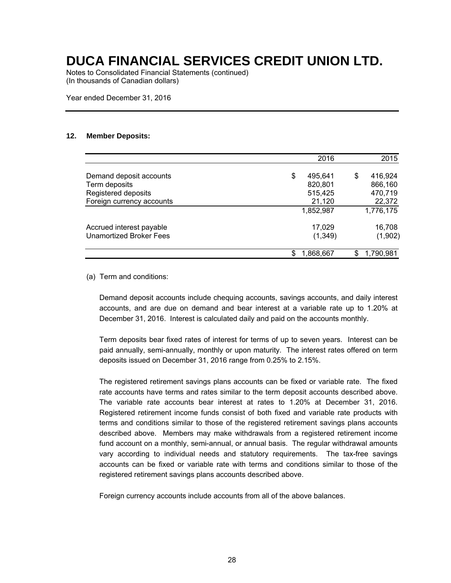Notes to Consolidated Financial Statements (continued) (In thousands of Canadian dollars)

Year ended December 31, 2016

#### **12. Member Deposits:**

|                                | 2016          |    | 2015      |
|--------------------------------|---------------|----|-----------|
| Demand deposit accounts        | \$<br>495.641 | \$ | 416,924   |
| Term deposits                  | 820,801       |    | 866,160   |
| Registered deposits            | 515,425       |    | 470,719   |
| Foreign currency accounts      | 21,120        |    | 22,372    |
|                                | 1,852,987     |    | 1,776,175 |
| Accrued interest payable       | 17,029        |    | 16,708    |
| <b>Unamortized Broker Fees</b> | (1,349)       |    | (1,902)   |
|                                | 1,868,667     | S  | 1,790,981 |

(a) Term and conditions:

Demand deposit accounts include chequing accounts, savings accounts, and daily interest accounts, and are due on demand and bear interest at a variable rate up to 1.20% at December 31, 2016. Interest is calculated daily and paid on the accounts monthly.

Term deposits bear fixed rates of interest for terms of up to seven years. Interest can be paid annually, semi-annually, monthly or upon maturity. The interest rates offered on term deposits issued on December 31, 2016 range from 0.25% to 2.15%.

The registered retirement savings plans accounts can be fixed or variable rate. The fixed rate accounts have terms and rates similar to the term deposit accounts described above. The variable rate accounts bear interest at rates to 1.20% at December 31, 2016. Registered retirement income funds consist of both fixed and variable rate products with terms and conditions similar to those of the registered retirement savings plans accounts described above. Members may make withdrawals from a registered retirement income fund account on a monthly, semi-annual, or annual basis. The regular withdrawal amounts vary according to individual needs and statutory requirements. The tax-free savings accounts can be fixed or variable rate with terms and conditions similar to those of the registered retirement savings plans accounts described above.

Foreign currency accounts include accounts from all of the above balances.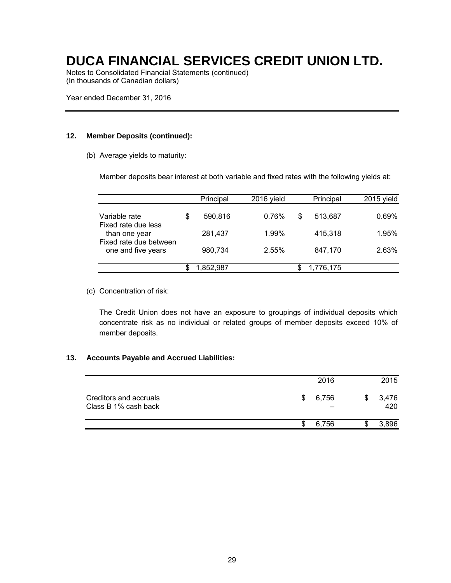Notes to Consolidated Financial Statements (continued) (In thousands of Canadian dollars)

Year ended December 31, 2016

#### **12. Member Deposits (continued):**

(b) Average yields to maturity:

Member deposits bear interest at both variable and fixed rates with the following yields at:

| Principal<br>2016 yield | 2015 yield                                                            |
|-------------------------|-----------------------------------------------------------------------|
|                         |                                                                       |
| \$                      | 0.69%                                                                 |
|                         | 1.95%                                                                 |
|                         | 2.63%                                                                 |
|                         |                                                                       |
|                         | 0.76%<br>513,687<br>1.99%<br>415.318<br>2.55%<br>847,170<br>1,776,175 |

(c) Concentration of risk:

The Credit Union does not have an exposure to groupings of individual deposits which concentrate risk as no individual or related groups of member deposits exceed 10% of member deposits.

#### **13. Accounts Payable and Accrued Liabilities:**

|                                                |   | 2016  |   | 2015         |
|------------------------------------------------|---|-------|---|--------------|
| Creditors and accruals<br>Class B 1% cash back | S | 6,756 | S | 3,476<br>420 |
|                                                | S | 6.756 |   | 3,896        |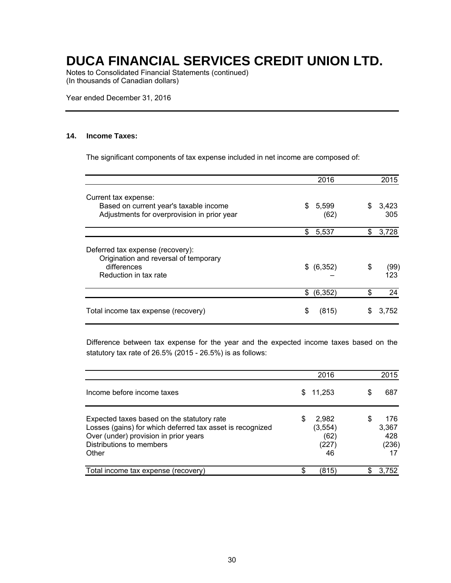Notes to Consolidated Financial Statements (continued) (In thousands of Canadian dollars)

Year ended December 31, 2016

#### **14. Income Taxes:**

The significant components of tax expense included in net income are composed of:

|                                                      |    | 2016       |    | 2015  |
|------------------------------------------------------|----|------------|----|-------|
| Current tax expense:                                 |    |            |    |       |
| Based on current year's taxable income               | \$ | 5,599      | S  | 3,423 |
| Adjustments for overprovision in prior year          |    | (62)       |    | 305   |
|                                                      | \$ | 5,537      |    | 3,728 |
| Deferred tax expense (recovery):                     |    |            |    |       |
| Origination and reversal of temporary<br>differences |    | \$ (6,352) | \$ | (99)  |
| Reduction in tax rate                                |    |            |    | 123   |
|                                                      | S  | (6, 352)   | \$ | 24    |
| Total income tax expense (recovery)                  | \$ | (815)      |    | 3.752 |

Difference between tax expense for the year and the expected income taxes based on the statutory tax rate of 26.5% (2015 - 26.5%) is as follows:

|                                                                                                                                                                                       | 2016                                         | 2015                         |
|---------------------------------------------------------------------------------------------------------------------------------------------------------------------------------------|----------------------------------------------|------------------------------|
| Income before income taxes                                                                                                                                                            | 11,253<br>S                                  | 687<br>S                     |
| Expected taxes based on the statutory rate<br>Losses (gains) for which deferred tax asset is recognized<br>Over (under) provision in prior years<br>Distributions to members<br>Other | 2,982<br>S<br>(3, 554)<br>(62)<br>227)<br>46 | 176<br>3,367<br>428<br>(236) |
| Total income tax expense (recovery)                                                                                                                                                   | S<br>(815)                                   | 3,752                        |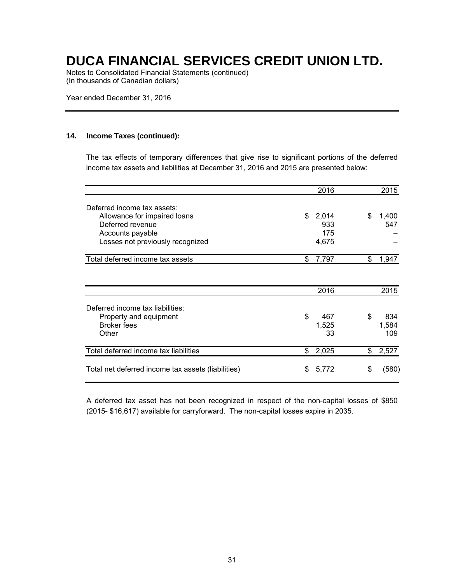Notes to Consolidated Financial Statements (continued) (In thousands of Canadian dollars)

Year ended December 31, 2016

#### **14. Income Taxes (continued):**

The tax effects of temporary differences that give rise to significant portions of the deferred income tax assets and liabilities at December 31, 2016 and 2015 are presented below:

|                                                    | 2016        | 2015        |
|----------------------------------------------------|-------------|-------------|
| Deferred income tax assets:                        |             |             |
| Allowance for impaired loans                       | \$<br>2,014 | \$<br>1,400 |
| Deferred revenue                                   | 933         | 547         |
| Accounts payable                                   | 175         |             |
| Losses not previously recognized                   | 4,675       |             |
| Total deferred income tax assets                   | \$<br>7,797 | \$<br>1,947 |
|                                                    | 2016        | 2015        |
| Deferred income tax liabilities:                   |             |             |
| Property and equipment                             | \$<br>467   | \$<br>834   |
| <b>Broker fees</b>                                 | 1,525       | 1,584       |
| Other                                              | 33          | 109         |
| Total deferred income tax liabilities              | \$<br>2,025 | \$<br>2,527 |
| Total net deferred income tax assets (liabilities) | \$<br>5,772 | \$<br>(580) |

A deferred tax asset has not been recognized in respect of the non-capital losses of \$850 (2015- \$16,617) available for carryforward. The non-capital losses expire in 2035.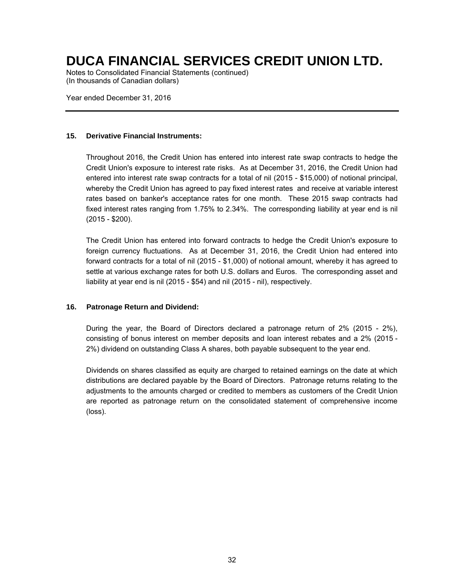Notes to Consolidated Financial Statements (continued) (In thousands of Canadian dollars)

Year ended December 31, 2016

#### **15. Derivative Financial Instruments:**

Throughout 2016, the Credit Union has entered into interest rate swap contracts to hedge the Credit Union's exposure to interest rate risks. As at December 31, 2016, the Credit Union had entered into interest rate swap contracts for a total of nil (2015 - \$15,000) of notional principal, whereby the Credit Union has agreed to pay fixed interest rates and receive at variable interest rates based on banker's acceptance rates for one month. These 2015 swap contracts had fixed interest rates ranging from 1.75% to 2.34%. The corresponding liability at year end is nil (2015 - \$200).

The Credit Union has entered into forward contracts to hedge the Credit Union's exposure to foreign currency fluctuations. As at December 31, 2016, the Credit Union had entered into forward contracts for a total of nil (2015 - \$1,000) of notional amount, whereby it has agreed to settle at various exchange rates for both U.S. dollars and Euros. The corresponding asset and liability at year end is nil (2015 - \$54) and nil (2015 - nil), respectively.

#### **16. Patronage Return and Dividend:**

During the year, the Board of Directors declared a patronage return of 2% (2015 - 2%), consisting of bonus interest on member deposits and loan interest rebates and a 2% (2015 - 2%) dividend on outstanding Class A shares, both payable subsequent to the year end.

Dividends on shares classified as equity are charged to retained earnings on the date at which distributions are declared payable by the Board of Directors. Patronage returns relating to the adjustments to the amounts charged or credited to members as customers of the Credit Union are reported as patronage return on the consolidated statement of comprehensive income (loss).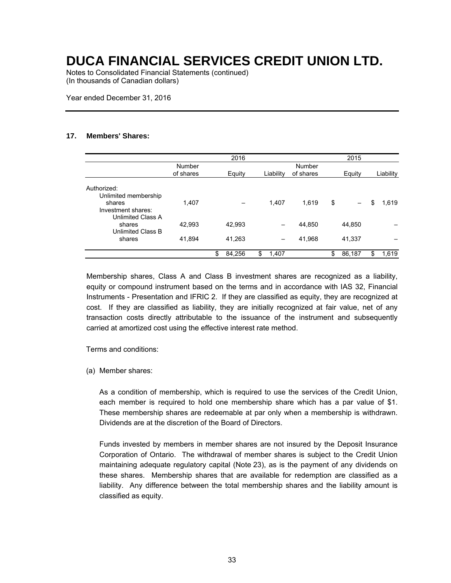Notes to Consolidated Financial Statements (continued) (In thousands of Canadian dollars)

Year ended December 31, 2016

#### **17. Members' Shares:**

|                                               |                     | 2016         |             |                     | 2015         |             |
|-----------------------------------------------|---------------------|--------------|-------------|---------------------|--------------|-------------|
|                                               | Number<br>of shares | Equity       | Liability   | Number<br>of shares | Equity       | Liability   |
| Authorized:<br>Unlimited membership<br>shares | 1,407               |              | 1,407       | 1.619               | \$           | \$<br>1,619 |
| Investment shares:<br>Unlimited Class A       |                     |              |             |                     |              |             |
| shares<br>Unlimited Class B                   | 42,993              | 42,993       |             | 44,850              | 44.850       |             |
| shares                                        | 41,894              | 41,263       |             | 41,968              | 41,337       |             |
|                                               |                     | \$<br>84,256 | \$<br>1,407 |                     | \$<br>86,187 | \$<br>1,619 |

Membership shares, Class A and Class B investment shares are recognized as a liability, equity or compound instrument based on the terms and in accordance with IAS 32, Financial Instruments - Presentation and IFRIC 2. If they are classified as equity, they are recognized at cost. If they are classified as liability, they are initially recognized at fair value, net of any transaction costs directly attributable to the issuance of the instrument and subsequently carried at amortized cost using the effective interest rate method.

Terms and conditions:

(a) Member shares:

As a condition of membership, which is required to use the services of the Credit Union, each member is required to hold one membership share which has a par value of \$1. These membership shares are redeemable at par only when a membership is withdrawn. Dividends are at the discretion of the Board of Directors.

Funds invested by members in member shares are not insured by the Deposit Insurance Corporation of Ontario. The withdrawal of member shares is subject to the Credit Union maintaining adequate regulatory capital (Note 23), as is the payment of any dividends on these shares. Membership shares that are available for redemption are classified as a liability. Any difference between the total membership shares and the liability amount is classified as equity.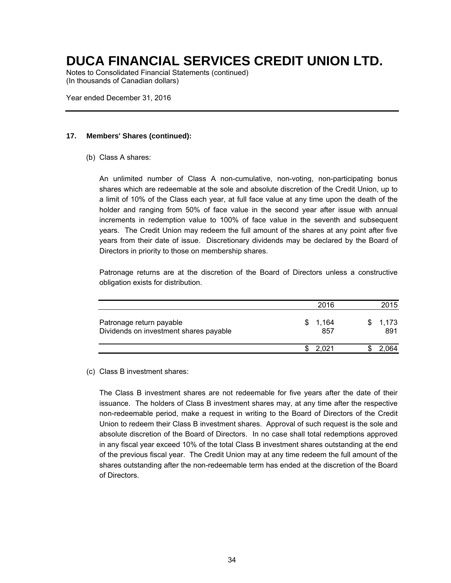Notes to Consolidated Financial Statements (continued) (In thousands of Canadian dollars)

Year ended December 31, 2016

#### **17. Members' Shares (continued):**

(b) Class A shares:

An unlimited number of Class A non-cumulative, non-voting, non-participating bonus shares which are redeemable at the sole and absolute discretion of the Credit Union, up to a limit of 10% of the Class each year, at full face value at any time upon the death of the holder and ranging from 50% of face value in the second year after issue with annual increments in redemption value to 100% of face value in the seventh and subsequent years. The Credit Union may redeem the full amount of the shares at any point after five years from their date of issue. Discretionary dividends may be declared by the Board of Directors in priority to those on membership shares.

Patronage returns are at the discretion of the Board of Directors unless a constructive obligation exists for distribution.

|                                                                    | 2016               | 2015           |
|--------------------------------------------------------------------|--------------------|----------------|
| Patronage return payable<br>Dividends on investment shares payable | 1,164<br>S.<br>857 | \$1.173<br>891 |
|                                                                    | 2.021              | 064            |

(c) Class B investment shares:

The Class B investment shares are not redeemable for five years after the date of their issuance. The holders of Class B investment shares may, at any time after the respective non-redeemable period, make a request in writing to the Board of Directors of the Credit Union to redeem their Class B investment shares. Approval of such request is the sole and absolute discretion of the Board of Directors. In no case shall total redemptions approved in any fiscal year exceed 10% of the total Class B investment shares outstanding at the end of the previous fiscal year. The Credit Union may at any time redeem the full amount of the shares outstanding after the non-redeemable term has ended at the discretion of the Board of Directors.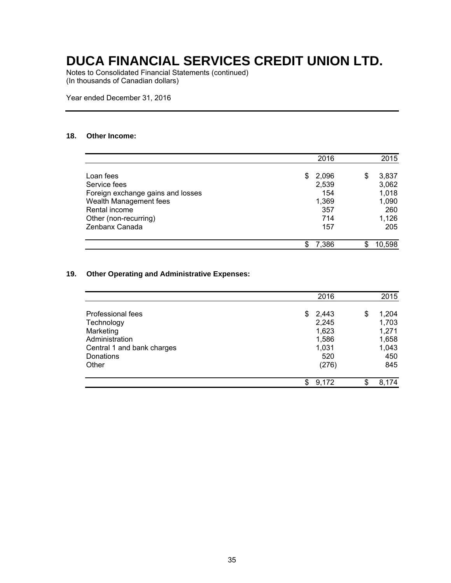Notes to Consolidated Financial Statements (continued) (In thousands of Canadian dollars)

Year ended December 31, 2016

#### **18. Other Income:**

|                                   | 2016    |   | 2015   |
|-----------------------------------|---------|---|--------|
| Loan fees                         | \$2,096 | S | 3,837  |
| Service fees                      | 2,539   |   | 3,062  |
| Foreign exchange gains and losses | 154     |   | 1,018  |
| Wealth Management fees            | 1,369   |   | 1,090  |
| Rental income                     | 357     |   | 260    |
| Other (non-recurring)             | 714     |   | 1,126  |
| Zenbanx Canada                    | 157     |   | 205    |
|                                   | 7,386   |   | 10,598 |

#### **19. Other Operating and Administrative Expenses:**

|                            | 2016        |    | 2015  |
|----------------------------|-------------|----|-------|
| Professional fees          | \$2,443     | \$ | 1,204 |
| Technology                 | 2,245       |    | 1,703 |
| Marketing                  | 1,623       |    | 1,271 |
| Administration             | 1,586       |    | 1,658 |
| Central 1 and bank charges | 1,031       |    | 1,043 |
| Donations                  | 520         |    | 450   |
| Other                      | (276)       |    | 845   |
|                            | 9,172<br>\$ | S  | 8,174 |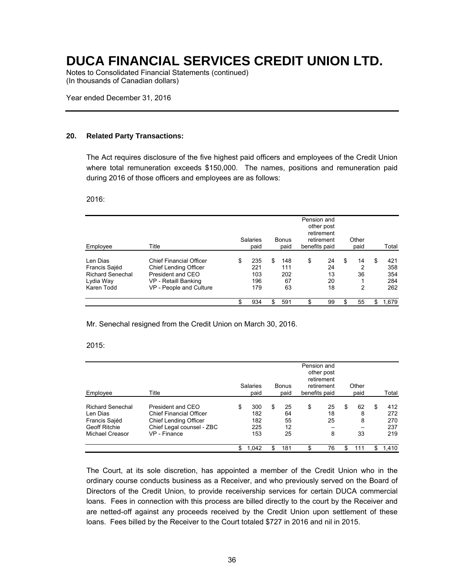Notes to Consolidated Financial Statements (continued) (In thousands of Canadian dollars)

Year ended December 31, 2016

#### **20. Related Party Transactions:**

The Act requires disclosure of the five highest paid officers and employees of the Credit Union where total remuneration exceeds \$150,000. The names, positions and remuneration paid during 2016 of those officers and employees are as follows:

2016:

| Employee                                                                        | Title                                                                                                                                  | Salaries<br>paid                      | <b>Bonus</b><br>paid                | Pension and<br>benefits paid | other post<br>retirement<br>retirement | Other<br>paid            |   | Total                           |
|---------------------------------------------------------------------------------|----------------------------------------------------------------------------------------------------------------------------------------|---------------------------------------|-------------------------------------|------------------------------|----------------------------------------|--------------------------|---|---------------------------------|
| Len Dias<br>Francis Sajéd<br><b>Richard Senechal</b><br>Lydia Way<br>Karen Todd | <b>Chief Financial Officer</b><br><b>Chief Lending Officer</b><br>President and CEO<br>VP - Retaill Banking<br>VP - People and Culture | \$<br>235<br>221<br>103<br>196<br>179 | \$<br>148<br>111<br>202<br>67<br>63 | \$                           | 24<br>24<br>13<br>20<br>18             | \$<br>14<br>2<br>36<br>2 | S | 421<br>358<br>354<br>284<br>262 |
|                                                                                 |                                                                                                                                        | \$<br>934                             | \$<br>591                           | \$                           | 99                                     | 55                       | S | 1,679                           |

Mr. Senechal resigned from the Credit Union on March 30, 2016.

#### 2015:

| Employee                                                                                        | Title                                                                                                                            | Salaries<br>paid                      | <b>Bonus</b><br>paid             | benefits paid | Pension and<br>other post<br>retirement<br>retirement |     | Other<br>paid      |   | Total                           |
|-------------------------------------------------------------------------------------------------|----------------------------------------------------------------------------------------------------------------------------------|---------------------------------------|----------------------------------|---------------|-------------------------------------------------------|-----|--------------------|---|---------------------------------|
| <b>Richard Senechal</b><br>Len Dias<br>Francis Sajéd<br><b>Geoff Ritchie</b><br>Michael Creasor | President and CEO<br><b>Chief Financial Officer</b><br><b>Chief Lending Officer</b><br>Chief Legal counsel - ZBC<br>VP - Finance | \$<br>300<br>182<br>182<br>225<br>153 | \$<br>25<br>64<br>55<br>12<br>25 | \$            | 25<br>18<br>25<br>8                                   | \$  | 62<br>8<br>8<br>33 | S | 412<br>272<br>270<br>237<br>219 |
|                                                                                                 |                                                                                                                                  | 1,042                                 | 181                              |               | 76                                                    | \$. |                    |   | 1,410                           |

The Court, at its sole discretion, has appointed a member of the Credit Union who in the ordinary course conducts business as a Receiver, and who previously served on the Board of Directors of the Credit Union, to provide receivership services for certain DUCA commercial loans. Fees in connection with this process are billed directly to the court by the Receiver and are netted-off against any proceeds received by the Credit Union upon settlement of these loans. Fees billed by the Receiver to the Court totaled \$727 in 2016 and nil in 2015.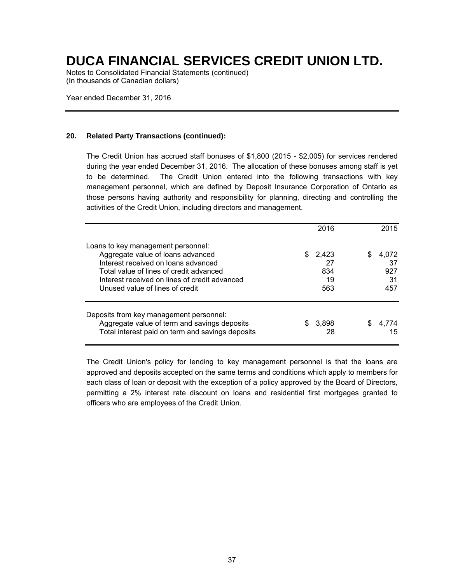Notes to Consolidated Financial Statements (continued) (In thousands of Canadian dollars)

Year ended December 31, 2016

#### **20. Related Party Transactions (continued):**

The Credit Union has accrued staff bonuses of \$1,800 (2015 - \$2,005) for services rendered during the year ended December 31, 2016. The allocation of these bonuses among staff is yet to be determined. The Credit Union entered into the following transactions with key management personnel, which are defined by Deposit Insurance Corporation of Ontario as those persons having authority and responsibility for planning, directing and controlling the activities of the Credit Union, including directors and management.

|                                                                                                                                                                                                                                               | 2016                              | 2015                                 |
|-----------------------------------------------------------------------------------------------------------------------------------------------------------------------------------------------------------------------------------------------|-----------------------------------|--------------------------------------|
| Loans to key management personnel:<br>Aggregate value of loans advanced<br>Interest received on loans advanced<br>Total value of lines of credit advanced<br>Interest received on lines of credit advanced<br>Unused value of lines of credit | \$2,423<br>27<br>834<br>19<br>563 | S<br>4.072<br>37<br>927<br>31<br>457 |
| Deposits from key management personnel:<br>Aggregate value of term and savings deposits<br>Total interest paid on term and savings deposits                                                                                                   | 3,898<br>\$.<br>28                | S<br>4.774<br>15                     |

The Credit Union's policy for lending to key management personnel is that the loans are approved and deposits accepted on the same terms and conditions which apply to members for each class of loan or deposit with the exception of a policy approved by the Board of Directors, permitting a 2% interest rate discount on loans and residential first mortgages granted to officers who are employees of the Credit Union.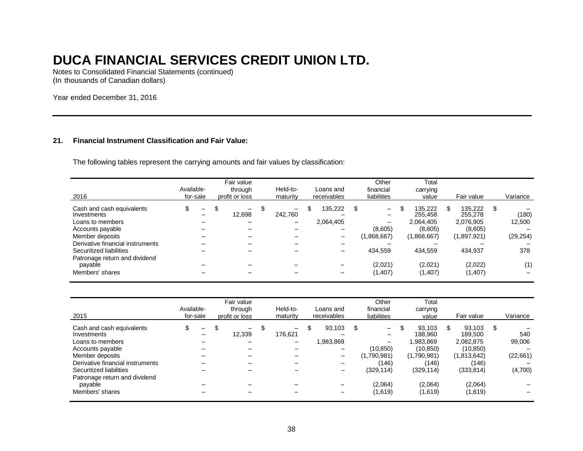Notes to Consolidated Financial Statements (continued) (In thousands of Canadian dollars)

Year ended December 31, 2016

#### **21. Financial Instrument Classification and Fair Value:**

The following tables represent the carrying amounts and fair values by classification:

| 2016                                                                                                                                                                                                                              | Available-<br>for-sale          | Fair value<br>through<br>profit or loss | Held-to-<br>maturity                                                     | Loans and<br>receivables                              | Other<br>financial<br>liabilities                                                                                                                         | Total<br>carrying<br>value                                                                 | Fair value                                                                                        | Variance                                        |
|-----------------------------------------------------------------------------------------------------------------------------------------------------------------------------------------------------------------------------------|---------------------------------|-----------------------------------------|--------------------------------------------------------------------------|-------------------------------------------------------|-----------------------------------------------------------------------------------------------------------------------------------------------------------|--------------------------------------------------------------------------------------------|---------------------------------------------------------------------------------------------------|-------------------------------------------------|
| Cash and cash equivalents<br>Investments<br>Loans to members<br>Accounts payable<br>Member deposits<br>Derivative financial instruments<br>Securitized liabilities<br>Patronage return and dividend<br>payable<br>Members' shares | $-$<br>$\overline{\phantom{0}}$ | \$<br>12.698                            | \$<br>-<br>242.760<br>$\qquad \qquad -$<br>-<br>$\overline{\phantom{0}}$ | 135,222<br>S<br>2,064,405<br>$\overline{\phantom{0}}$ | S<br>$\overline{\phantom{0}}$<br>$\qquad \qquad \blacksquare$<br>$\overline{\phantom{0}}$<br>(8,605)<br>(1,868,667)<br>-<br>434.559<br>(2,021)<br>(1,407) | 135,222<br>255,458<br>2,064,405<br>(8,605)<br>(1,868,667)<br>434.559<br>(2,021)<br>(1,407) | 135,222<br>\$.<br>255,278<br>2,076,905<br>(8,605)<br>(1,897,921)<br>434,937<br>(2,022)<br>(1,407) | S<br>(180)<br>12,500<br>(29, 254)<br>378<br>(1) |

| 2015                                                                                                                                                                                                                              | Available-<br>for-sale |                                               | profit or loss | Fair value<br>through                                          |   | Held-to-<br>maturity                                                                                                              |   | Loans and<br>receivables                                                                               | Other<br>financial<br>liabilities                                                                                           |     | Total<br>carrying<br>value                                                                             |     | Fair value                                                                                              |     | Variance                              |
|-----------------------------------------------------------------------------------------------------------------------------------------------------------------------------------------------------------------------------------|------------------------|-----------------------------------------------|----------------|----------------------------------------------------------------|---|-----------------------------------------------------------------------------------------------------------------------------------|---|--------------------------------------------------------------------------------------------------------|-----------------------------------------------------------------------------------------------------------------------------|-----|--------------------------------------------------------------------------------------------------------|-----|---------------------------------------------------------------------------------------------------------|-----|---------------------------------------|
| Cash and cash equivalents<br>Investments<br>Loans to members<br>Accounts payable<br>Member deposits<br>Derivative financial instruments<br>Securitized liabilities<br>Patronage return and dividend<br>payable<br>Members' shares |                        | $\qquad \qquad -$<br>$\overline{\phantom{0}}$ | ა              | $\overline{\phantom{0}}$<br>12,339<br>$\overline{\phantom{0}}$ | S | $\overline{\phantom{0}}$<br>176,621<br>$\overline{\phantom{m}}$<br>$\overline{\phantom{m}}$<br>-<br>-<br>$\overline{\phantom{0}}$ | S | 93,103<br>$\overline{\phantom{0}}$<br>.983,869<br>$\overline{\phantom{0}}$<br>$\overline{\phantom{0}}$ | S<br>$-$<br>$\qquad \qquad -$<br>$\qquad \qquad -$<br>(10, 850)<br>(1,790,981)<br>(146)<br>(329, 114)<br>(2.064)<br>(1,619) | \$. | 93,103<br>188,960<br>1,983,869<br>(10, 850)<br>(1,790,981)<br>(146)<br>(329,114)<br>(2,064)<br>(1,619) | \$. | 93,103<br>189,500<br>2,082,875<br>(10, 850)<br>(1,813,642)<br>(146)<br>(333, 814)<br>(2,064)<br>(1,619) | \$. | 540<br>99,006<br>(22, 661)<br>(4,700) |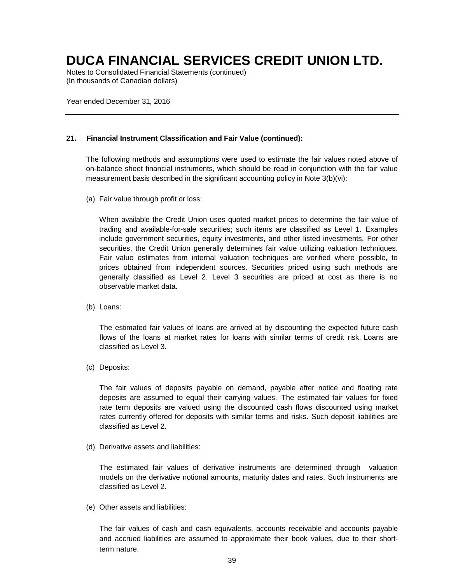Notes to Consolidated Financial Statements (continued) (In thousands of Canadian dollars)

Year ended December 31, 2016

#### **21. Financial Instrument Classification and Fair Value (continued):**

The following methods and assumptions were used to estimate the fair values noted above of on-balance sheet financial instruments, which should be read in conjunction with the fair value measurement basis described in the significant accounting policy in Note 3(b)(vi):

(a) Fair value through profit or loss:

When available the Credit Union uses quoted market prices to determine the fair value of trading and available-for-sale securities; such items are classified as Level 1. Examples include government securities, equity investments, and other listed investments. For other securities, the Credit Union generally determines fair value utilizing valuation techniques. Fair value estimates from internal valuation techniques are verified where possible, to prices obtained from independent sources. Securities priced using such methods are generally classified as Level 2. Level 3 securities are priced at cost as there is no observable market data.

(b) Loans:

The estimated fair values of loans are arrived at by discounting the expected future cash flows of the loans at market rates for loans with similar terms of credit risk. Loans are classified as Level 3.

(c) Deposits:

The fair values of deposits payable on demand, payable after notice and floating rate deposits are assumed to equal their carrying values. The estimated fair values for fixed rate term deposits are valued using the discounted cash flows discounted using market rates currently offered for deposits with similar terms and risks. Such deposit liabilities are classified as Level 2.

(d) Derivative assets and liabilities:

The estimated fair values of derivative instruments are determined through valuation models on the derivative notional amounts, maturity dates and rates. Such instruments are classified as Level 2.

(e) Other assets and liabilities:

The fair values of cash and cash equivalents, accounts receivable and accounts payable and accrued liabilities are assumed to approximate their book values, due to their shortterm nature.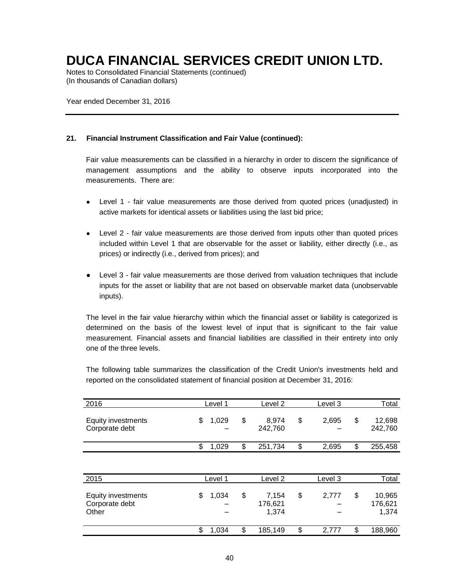Notes to Consolidated Financial Statements (continued) (In thousands of Canadian dollars)

Year ended December 31, 2016

#### **21. Financial Instrument Classification and Fair Value (continued):**

Fair value measurements can be classified in a hierarchy in order to discern the significance of management assumptions and the ability to observe inputs incorporated into the measurements. There are:

- Level 1 fair value measurements are those derived from quoted prices (unadjusted) in active markets for identical assets or liabilities using the last bid price;
- Level 2 fair value measurements are those derived from inputs other than quoted prices included within Level 1 that are observable for the asset or liability, either directly (i.e., as prices) or indirectly (i.e., derived from prices); and
- Level 3 fair value measurements are those derived from valuation techniques that include inputs for the asset or liability that are not based on observable market data (unobservable inputs).

The level in the fair value hierarchy within which the financial asset or liability is categorized is determined on the basis of the lowest level of input that is significant to the fair value measurement. Financial assets and financial liabilities are classified in their entirety into only one of the three levels.

The following table summarizes the classification of the Credit Union's investments held and reported on the consolidated statement of financial position at December 31, 2016:

| 2016                                                 | Level 1     | Level 2                         | Level 3     | Total                            |
|------------------------------------------------------|-------------|---------------------------------|-------------|----------------------------------|
| Equity investments<br>Corporate debt                 | \$<br>1,029 | \$<br>8,974<br>242,760          | \$<br>2,695 | \$<br>12,698<br>242,760          |
|                                                      | \$<br>1,029 | \$<br>251,734                   | \$<br>2,695 | \$<br>255,458                    |
|                                                      |             |                                 |             |                                  |
| 2015                                                 | Level 1     | Level 2                         | Level 3     | Total                            |
| <b>Equity investments</b><br>Corporate debt<br>Other | \$<br>1,034 | \$<br>7,154<br>176,621<br>1,374 | \$<br>2,777 | \$<br>10,965<br>176,621<br>1,374 |
|                                                      | \$<br>1,034 | \$<br>185,149                   | \$<br>2,777 | \$<br>188,960                    |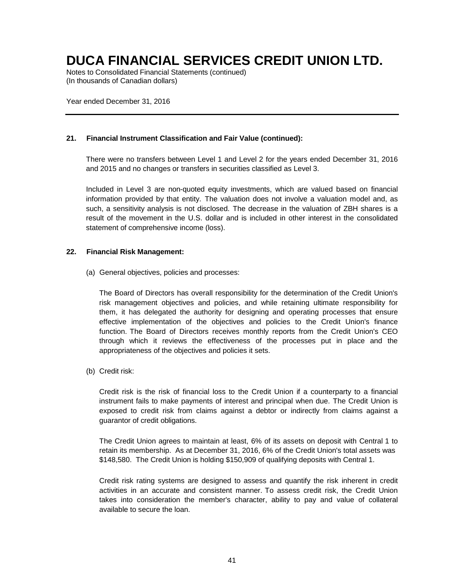Notes to Consolidated Financial Statements (continued) (In thousands of Canadian dollars)

Year ended December 31, 2016

#### **21. Financial Instrument Classification and Fair Value (continued):**

There were no transfers between Level 1 and Level 2 for the years ended December 31, 2016 and 2015 and no changes or transfers in securities classified as Level 3.

Included in Level 3 are non-quoted equity investments, which are valued based on financial information provided by that entity. The valuation does not involve a valuation model and, as such, a sensitivity analysis is not disclosed. The decrease in the valuation of ZBH shares is a result of the movement in the U.S. dollar and is included in other interest in the consolidated statement of comprehensive income (loss).

#### **22. Financial Risk Management:**

(a) General objectives, policies and processes:

The Board of Directors has overall responsibility for the determination of the Credit Union's risk management objectives and policies, and while retaining ultimate responsibility for them, it has delegated the authority for designing and operating processes that ensure effective implementation of the objectives and policies to the Credit Union's finance function. The Board of Directors receives monthly reports from the Credit Union's CEO through which it reviews the effectiveness of the processes put in place and the appropriateness of the objectives and policies it sets.

(b) Credit risk:

Credit risk is the risk of financial loss to the Credit Union if a counterparty to a financial instrument fails to make payments of interest and principal when due. The Credit Union is exposed to credit risk from claims against a debtor or indirectly from claims against a guarantor of credit obligations.

The Credit Union agrees to maintain at least, 6% of its assets on deposit with Central 1 to retain its membership. As at December 31, 2016, 6% of the Credit Union's total assets was \$148,580. The Credit Union is holding \$150,909 of qualifying deposits with Central 1.

Credit risk rating systems are designed to assess and quantify the risk inherent in credit activities in an accurate and consistent manner. To assess credit risk, the Credit Union takes into consideration the member's character, ability to pay and value of collateral available to secure the loan.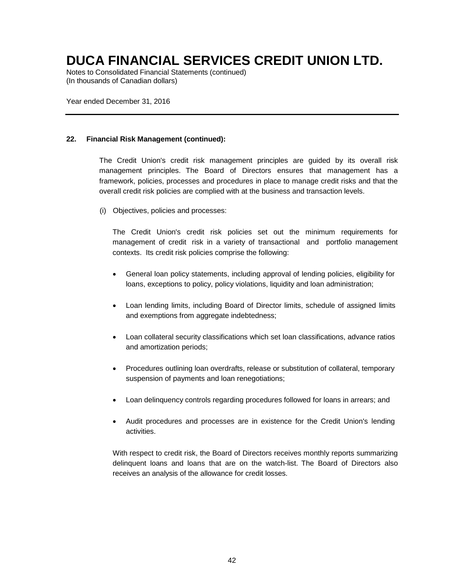Notes to Consolidated Financial Statements (continued) (In thousands of Canadian dollars)

Year ended December 31, 2016

#### **22. Financial Risk Management (continued):**

The Credit Union's credit risk management principles are guided by its overall risk management principles. The Board of Directors ensures that management has a framework, policies, processes and procedures in place to manage credit risks and that the overall credit risk policies are complied with at the business and transaction levels.

(i) Objectives, policies and processes:

The Credit Union's credit risk policies set out the minimum requirements for management of credit risk in a variety of transactional and portfolio management contexts. Its credit risk policies comprise the following:

- General loan policy statements, including approval of lending policies, eligibility for loans, exceptions to policy, policy violations, liquidity and loan administration;
- Loan lending limits, including Board of Director limits, schedule of assigned limits and exemptions from aggregate indebtedness;
- Loan collateral security classifications which set loan classifications, advance ratios and amortization periods;
- Procedures outlining loan overdrafts, release or substitution of collateral, temporary suspension of payments and loan renegotiations;
- Loan delinquency controls regarding procedures followed for loans in arrears; and
- Audit procedures and processes are in existence for the Credit Union's lending activities.

With respect to credit risk, the Board of Directors receives monthly reports summarizing delinquent loans and loans that are on the watch-list. The Board of Directors also receives an analysis of the allowance for credit losses.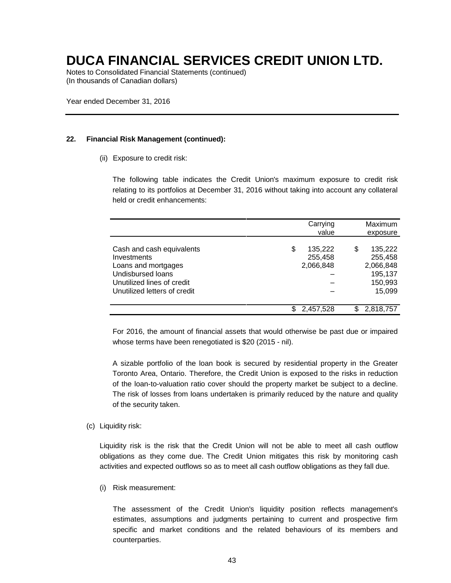Notes to Consolidated Financial Statements (continued) (In thousands of Canadian dollars)

Year ended December 31, 2016

#### **22. Financial Risk Management (continued):**

(ii) Exposure to credit risk:

The following table indicates the Credit Union's maximum exposure to credit risk relating to its portfolios at December 31, 2016 without taking into account any collateral held or credit enhancements:

|                                                                                                                                                    | Carrying<br>value                     |   | Maximum<br>exposure                                             |
|----------------------------------------------------------------------------------------------------------------------------------------------------|---------------------------------------|---|-----------------------------------------------------------------|
| Cash and cash equivalents<br>Investments<br>Loans and mortgages<br>Undisbursed loans<br>Unutilized lines of credit<br>Unutilized letters of credit | \$<br>135,222<br>255,458<br>2,066,848 | S | 135,222<br>255,458<br>2,066,848<br>195,137<br>150,993<br>15,099 |
|                                                                                                                                                    | 2,457,528                             |   | 2.818.757                                                       |

For 2016, the amount of financial assets that would otherwise be past due or impaired whose terms have been renegotiated is \$20 (2015 - nil).

A sizable portfolio of the loan book is secured by residential property in the Greater Toronto Area, Ontario. Therefore, the Credit Union is exposed to the risks in reduction of the loan-to-valuation ratio cover should the property market be subject to a decline. The risk of losses from loans undertaken is primarily reduced by the nature and quality of the security taken.

(c) Liquidity risk:

Liquidity risk is the risk that the Credit Union will not be able to meet all cash outflow obligations as they come due. The Credit Union mitigates this risk by monitoring cash activities and expected outflows so as to meet all cash outflow obligations as they fall due.

(i) Risk measurement:

The assessment of the Credit Union's liquidity position reflects management's estimates, assumptions and judgments pertaining to current and prospective firm specific and market conditions and the related behaviours of its members and counterparties.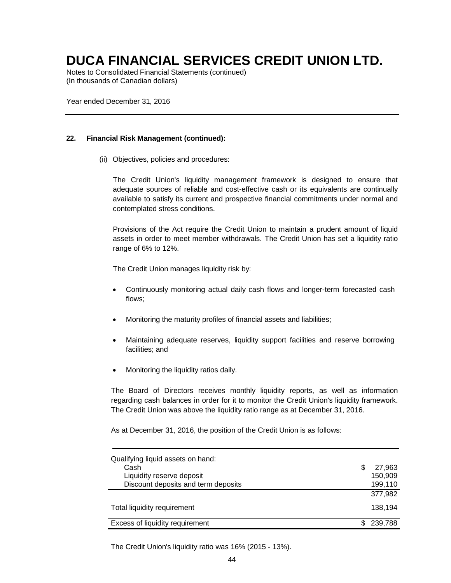Notes to Consolidated Financial Statements (continued) (In thousands of Canadian dollars)

Year ended December 31, 2016

#### **22. Financial Risk Management (continued):**

(ii) Objectives, policies and procedures:

The Credit Union's liquidity management framework is designed to ensure that adequate sources of reliable and cost-effective cash or its equivalents are continually available to satisfy its current and prospective financial commitments under normal and contemplated stress conditions.

Provisions of the Act require the Credit Union to maintain a prudent amount of liquid assets in order to meet member withdrawals. The Credit Union has set a liquidity ratio range of 6% to 12%.

The Credit Union manages liquidity risk by:

- Continuously monitoring actual daily cash flows and longer-term forecasted cash flows;
- Monitoring the maturity profiles of financial assets and liabilities;
- Maintaining adequate reserves, liquidity support facilities and reserve borrowing facilities; and
- Monitoring the liquidity ratios daily.

The Board of Directors receives monthly liquidity reports, as well as information regarding cash balances in order for it to monitor the Credit Union's liquidity framework. The Credit Union was above the liquidity ratio range as at December 31, 2016.

As at December 31, 2016, the position of the Credit Union is as follows:

| Cash<br>27,963<br>150.909<br>Liquidity reserve deposit<br>Discount deposits and term deposits<br>199,110 |  |
|----------------------------------------------------------------------------------------------------------|--|
|                                                                                                          |  |
|                                                                                                          |  |
|                                                                                                          |  |
| 377,982                                                                                                  |  |
| Total liquidity requirement<br>138,194                                                                   |  |
| Excess of liquidity requirement<br>239,788                                                               |  |

The Credit Union's liquidity ratio was 16% (2015 - 13%).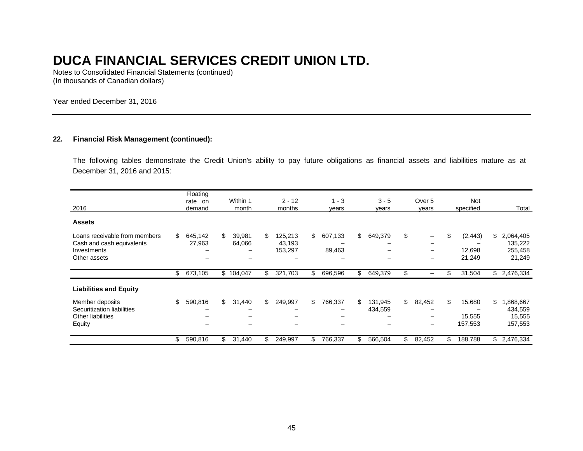Notes to Consolidated Financial Statements (continued) (In thousands of Canadian dollars)

Year ended December 31, 2016

#### **22. Financial Risk Management (continued):**

The following tables demonstrate the Credit Union's ability to pay future obligations as financial assets and liabilities mature as at December 31, 2016 and 2015:

| 2016                                                                                      | Floating<br>rate on<br>demand | Within 1<br>month      | $2 - 12$<br>months                 | $1 - 3$<br>years             | $3 - 5$<br>years                 | Over <sub>5</sub><br>years                                                       |     | <b>Not</b><br>specified      | Total                                           |
|-------------------------------------------------------------------------------------------|-------------------------------|------------------------|------------------------------------|------------------------------|----------------------------------|----------------------------------------------------------------------------------|-----|------------------------------|-------------------------------------------------|
| <b>Assets</b>                                                                             |                               |                        |                                    |                              |                                  |                                                                                  |     |                              |                                                 |
| Loans receivable from members<br>Cash and cash equivalents<br>Investments<br>Other assets | \$<br>645,142<br>27,963       | \$<br>39,981<br>64,066 | \$<br>125,213<br>43,193<br>153,297 | \$<br>607,133<br>-<br>89,463 | \$<br>649,379<br>$\qquad \qquad$ | \$<br>-<br>$\overline{\phantom{m}}$<br>$\qquad \qquad$<br>$\qquad \qquad$        | \$  | (2, 443)<br>12,698<br>21,249 | \$<br>2,064,405<br>135,222<br>255,458<br>21,249 |
|                                                                                           | \$<br>673,105                 | \$104,047              | \$<br>321,703                      | \$<br>696,596                | \$<br>649,379                    | \$<br>$\qquad \qquad \blacksquare$                                               | \$  | 31,504                       | \$2,476,334                                     |
| <b>Liabilities and Equity</b>                                                             |                               |                        |                                    |                              |                                  |                                                                                  |     |                              |                                                 |
| Member deposits<br>Securitization liabilities<br>Other liabilities<br>Equity              | \$<br>590,816                 | \$<br>31,440<br>-      | \$<br>249,997<br>-                 | \$<br>766,337                | \$<br>131,945<br>434,559         | \$<br>82,452<br>$\overline{\phantom{m}}$<br>$\qquad \qquad$<br>$\qquad \qquad -$ | \$  | 15,680<br>15,555<br>157,553  | \$<br>.868,667<br>434,559<br>15,555<br>157,553  |
|                                                                                           | \$<br>590,816                 | 31,440                 | \$<br>249,997                      | \$<br>766,337                | \$<br>566,504                    | \$<br>82,452                                                                     | \$. | 188,788                      | \$2,476,334                                     |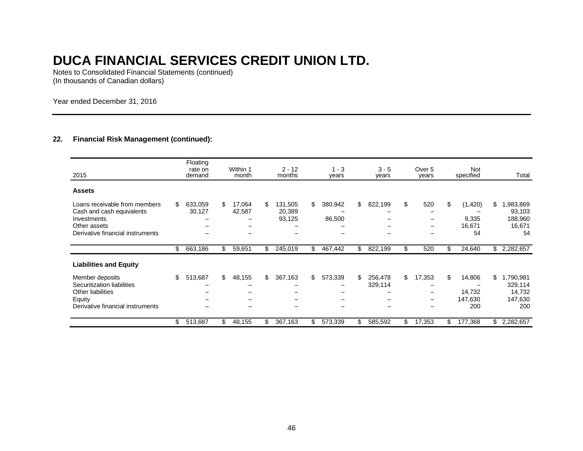Notes to Consolidated Financial Statements (continued) (In thousands of Canadian dollars)

Year ended December 31, 2016

#### **22. Financial Risk Management (continued):**

| 2015                                                                                                                          |    | Floating<br>rate on<br>demand |     | Within 1<br>month |    | $2 - 12$<br>months          |     | $1 - 3$<br>years  | $3 - 5$<br>years         | Over 5<br>years             | Not<br>specified                         | Total                                                 |
|-------------------------------------------------------------------------------------------------------------------------------|----|-------------------------------|-----|-------------------|----|-----------------------------|-----|-------------------|--------------------------|-----------------------------|------------------------------------------|-------------------------------------------------------|
| <b>Assets</b>                                                                                                                 |    |                               |     |                   |    |                             |     |                   |                          |                             |                                          |                                                       |
| Loans receivable from members<br>Cash and cash equivalents<br>Investments<br>Other assets<br>Derivative financial instruments | \$ | 633,059<br>30,127             | \$. | 17,064<br>42,587  | \$ | 131,505<br>20,389<br>93,125 | \$  | 380,942<br>86,500 | \$<br>822,199            | \$<br>520<br>-<br>-         | \$<br>(1,420)<br>9,335<br>16,671<br>54   | \$<br>1,983,869<br>93,103<br>188,960<br>16,671<br>54  |
|                                                                                                                               | \$ | 663,186                       | \$  | 59,651            | \$ | 245,019                     | \$  | 467,442           | \$<br>822,199            | \$<br>520                   | \$<br>24,640                             | \$<br>2,282,657                                       |
| <b>Liabilities and Equity</b>                                                                                                 |    |                               |     |                   |    |                             |     |                   |                          |                             |                                          |                                                       |
| Member deposits<br>Securitization liabilities<br>Other liabilities<br>Equity<br>Derivative financial instruments              | \$ | 513,687                       | \$  | 48,155            | \$ | 367,163                     | \$  | 573,339           | \$<br>256,478<br>329,114 | \$<br>17,353<br>-<br>-<br>- | \$<br>14,806<br>14,732<br>147,630<br>200 | \$<br>,790,981<br>329,114<br>14,732<br>147,630<br>200 |
|                                                                                                                               | S  | 513,687                       | \$. | 48,155            | £. | 367,163                     | \$. | 573,339           | 585,592                  | \$<br>17,353                | \$<br>177,368                            | \$2,282,657                                           |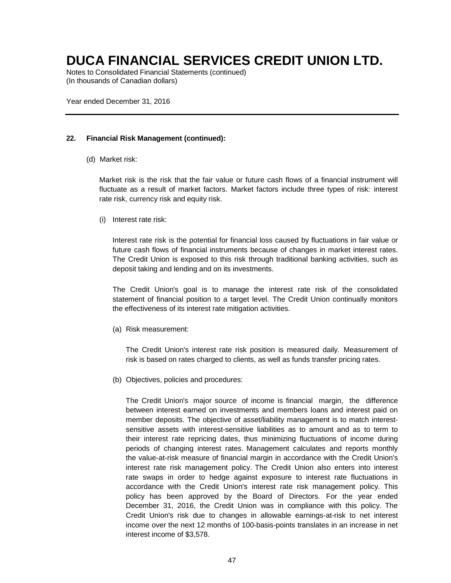Notes to Consolidated Financial Statements (continued) (In thousands of Canadian dollars)

Year ended December 31, 2016

#### **22. Financial Risk Management (continued):**

(d) Market risk:

Market risk is the risk that the fair value or future cash flows of a financial instrument will fluctuate as a result of market factors. Market factors include three types of risk: interest rate risk, currency risk and equity risk.

(i) Interest rate risk:

Interest rate risk is the potential for financial loss caused by fluctuations in fair value or future cash flows of financial instruments because of changes in market interest rates. The Credit Union is exposed to this risk through traditional banking activities, such as deposit taking and lending and on its investments.

The Credit Union's goal is to manage the interest rate risk of the consolidated statement of financial position to a target level. The Credit Union continually monitors the effectiveness of its interest rate mitigation activities.

(a) Risk measurement:

The Credit Union's interest rate risk position is measured daily. Measurement of risk is based on rates charged to clients, as well as funds transfer pricing rates.

(b) Objectives, policies and procedures:

The Credit Union's major source of income is financial margin, the difference between interest earned on investments and members loans and interest paid on member deposits. The objective of asset/liability management is to match interestsensitive assets with interest-sensitive liabilities as to amount and as to term to their interest rate repricing dates, thus minimizing fluctuations of income during periods of changing interest rates. Management calculates and reports monthly the value-at-risk measure of financial margin in accordance with the Credit Union's interest rate risk management policy. The Credit Union also enters into interest rate swaps in order to hedge against exposure to interest rate fluctuations in accordance with the Credit Union's interest rate risk management policy. This policy has been approved by the Board of Directors. For the year ended December 31, 2016, the Credit Union was in compliance with this policy. The Credit Union's risk due to changes in allowable earnings-at-risk to net interest income over the next 12 months of 100-basis-points translates in an increase in net interest income of \$3,578.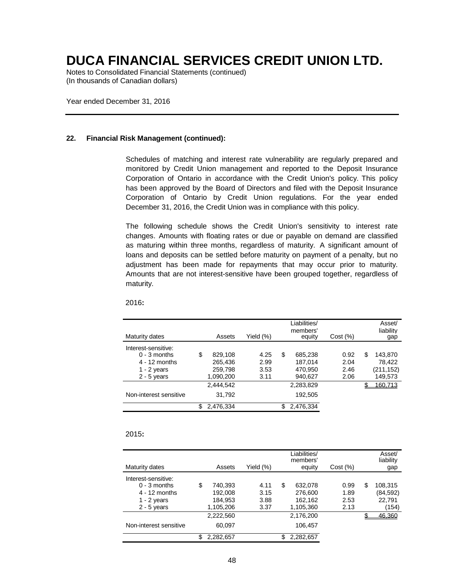Notes to Consolidated Financial Statements (continued) (In thousands of Canadian dollars)

Year ended December 31, 2016

#### **22. Financial Risk Management (continued):**

Schedules of matching and interest rate vulnerability are regularly prepared and monitored by Credit Union management and reported to the Deposit Insurance Corporation of Ontario in accordance with the Credit Union's policy. This policy has been approved by the Board of Directors and filed with the Deposit Insurance Corporation of Ontario by Credit Union regulations. For the year ended December 31, 2016, the Credit Union was in compliance with this policy.

The following schedule shows the Credit Union's sensitivity to interest rate changes. Amounts with floating rates or due or payable on demand are classified as maturing within three months, regardless of maturity. A significant amount of loans and deposits can be settled before maturity on payment of a penalty, but no adjustment has been made for repayments that may occur prior to maturity. Amounts that are not interest-sensitive have been grouped together, regardless of maturity.

| Maturity dates                                                                             |   | Assets                                     | Yield (%)                    |   | Liabilities/<br>members'<br>equity       | Cost (%)                     | Asset/<br>liability<br>gap                       |
|--------------------------------------------------------------------------------------------|---|--------------------------------------------|------------------------------|---|------------------------------------------|------------------------------|--------------------------------------------------|
| Interest-sensitive:<br>$0 - 3$ months<br>$4 - 12$ months<br>1 - $2$ years<br>$2 - 5$ years | S | 829.108<br>265,436<br>259,798<br>1,090,200 | 4.25<br>2.99<br>3.53<br>3.11 | S | 685.238<br>187,014<br>470,950<br>940,627 | 0.92<br>2.04<br>2.46<br>2.06 | \$<br>143.870<br>78.422<br>(211, 152)<br>149,573 |
| Non-interest sensitive                                                                     |   | 2.444.542<br>31,792                        |                              |   | 2,283,829<br>192,505                     |                              | 160,713                                          |
|                                                                                            |   | 2.476.334                                  |                              |   | 2.476.334                                |                              |                                                  |

2016**:**

#### 2015**:**

| Maturity dates         |   | Assets    | Yield (%) | Liabilities/<br>members'<br>equity | Cost (%) | Asset/<br>liability<br>gap |
|------------------------|---|-----------|-----------|------------------------------------|----------|----------------------------|
| Interest-sensitive:    |   |           |           |                                    |          |                            |
| $0 - 3$ months         | S | 740,393   | 4.11      | \$<br>632.078                      | 0.99     | \$<br>108.315              |
| $4 - 12$ months        |   | 192,008   | 3.15      | 276,600                            | 1.89     | (84, 592)                  |
| $1 - 2$ years          |   | 184,953   | 3.88      | 162,162                            | 2.53     | 22,791                     |
| $2 - 5$ years          |   | 1,105,206 | 3.37      | 1,105,360                          | 2.13     | (154)                      |
|                        |   | 2,222,560 |           | 2,176,200                          |          | 46,360                     |
| Non-interest sensitive |   | 60,097    |           | 106,457                            |          |                            |
|                        | S | 2.282.657 |           | 2,282,657                          |          |                            |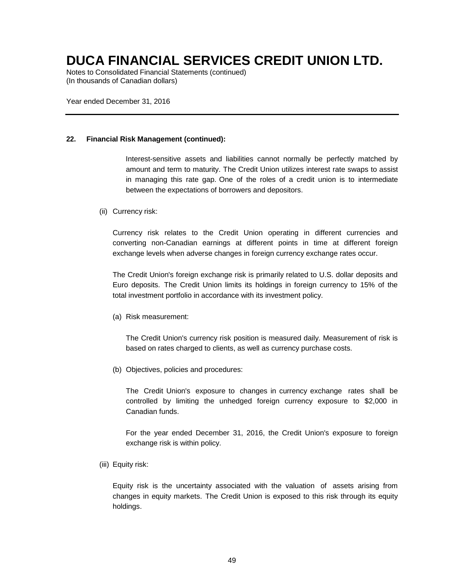Notes to Consolidated Financial Statements (continued) (In thousands of Canadian dollars)

Year ended December 31, 2016

#### **22. Financial Risk Management (continued):**

Interest-sensitive assets and liabilities cannot normally be perfectly matched by amount and term to maturity. The Credit Union utilizes interest rate swaps to assist in managing this rate gap. One of the roles of a credit union is to intermediate between the expectations of borrowers and depositors.

(ii) Currency risk:

Currency risk relates to the Credit Union operating in different currencies and converting non-Canadian earnings at different points in time at different foreign exchange levels when adverse changes in foreign currency exchange rates occur.

The Credit Union's foreign exchange risk is primarily related to U.S. dollar deposits and Euro deposits. The Credit Union limits its holdings in foreign currency to 15% of the total investment portfolio in accordance with its investment policy.

(a) Risk measurement:

The Credit Union's currency risk position is measured daily. Measurement of risk is based on rates charged to clients, as well as currency purchase costs.

(b) Objectives, policies and procedures:

The Credit Union's exposure to changes in currency exchange rates shall be controlled by limiting the unhedged foreign currency exposure to \$2,000 in Canadian funds.

For the year ended December 31, 2016, the Credit Union's exposure to foreign exchange risk is within policy.

(iii) Equity risk:

Equity risk is the uncertainty associated with the valuation of assets arising from changes in equity markets. The Credit Union is exposed to this risk through its equity holdings.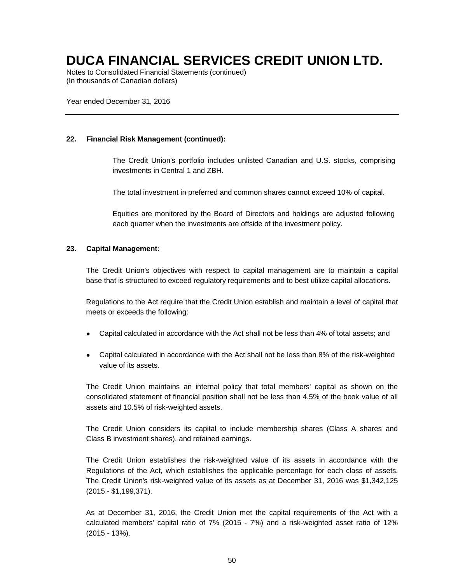Notes to Consolidated Financial Statements (continued) (In thousands of Canadian dollars)

Year ended December 31, 2016

#### **22. Financial Risk Management (continued):**

The Credit Union's portfolio includes unlisted Canadian and U.S. stocks, comprising investments in Central 1 and ZBH.

The total investment in preferred and common shares cannot exceed 10% of capital.

Equities are monitored by the Board of Directors and holdings are adjusted following each quarter when the investments are offside of the investment policy.

#### **23. Capital Management:**

The Credit Union's objectives with respect to capital management are to maintain a capital base that is structured to exceed regulatory requirements and to best utilize capital allocations.

Regulations to the Act require that the Credit Union establish and maintain a level of capital that meets or exceeds the following:

- Capital calculated in accordance with the Act shall not be less than 4% of total assets; and
- Capital calculated in accordance with the Act shall not be less than 8% of the risk-weighted value of its assets.

The Credit Union maintains an internal policy that total members' capital as shown on the consolidated statement of financial position shall not be less than 4.5% of the book value of all assets and 10.5% of risk-weighted assets.

The Credit Union considers its capital to include membership shares (Class A shares and Class B investment shares), and retained earnings.

The Credit Union establishes the risk-weighted value of its assets in accordance with the Regulations of the Act, which establishes the applicable percentage for each class of assets. The Credit Union's risk-weighted value of its assets as at December 31, 2016 was \$1,342,125 (2015 - \$1,199,371).

As at December 31, 2016, the Credit Union met the capital requirements of the Act with a calculated members' capital ratio of 7% (2015 - 7%) and a risk-weighted asset ratio of 12% (2015 - 13%).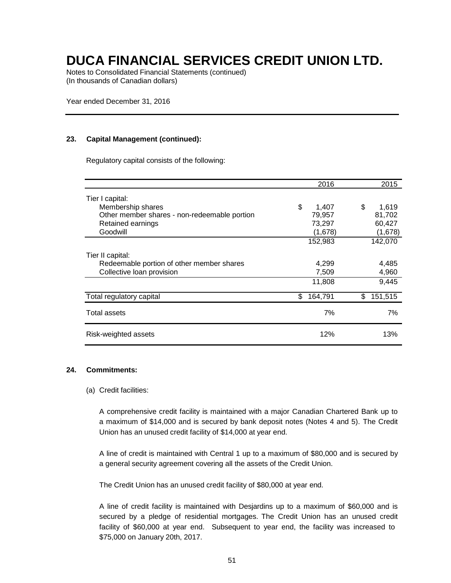Notes to Consolidated Financial Statements (continued) (In thousands of Canadian dollars)

Year ended December 31, 2016

#### **23. Capital Management (continued):**

Regulatory capital consists of the following:

|                                              | 2016          | 2015          |
|----------------------------------------------|---------------|---------------|
| Tier I capital:                              |               |               |
| Membership shares                            | \$<br>1,407   | \$<br>1,619   |
| Other member shares - non-redeemable portion | 79,957        | 81,702        |
| Retained earnings                            | 73,297        | 60,427        |
| Goodwill                                     | (1,678)       | (1,678)       |
|                                              | 152,983       | 142,070       |
| Tier II capital:                             |               |               |
| Redeemable portion of other member shares    | 4,299         | 4,485         |
| Collective loan provision                    | 7,509         | 4,960         |
|                                              | 11,808        | 9,445         |
| Total regulatory capital                     | 164,791<br>\$ | 151,515<br>\$ |
| Total assets                                 | 7%            | 7%            |
| Risk-weighted assets                         | 12%           | 13%           |

#### **24. Commitments:**

(a) Credit facilities:

A comprehensive credit facility is maintained with a major Canadian Chartered Bank up to a maximum of \$14,000 and is secured by bank deposit notes (Notes 4 and 5). The Credit Union has an unused credit facility of \$14,000 at year end.

A line of credit is maintained with Central 1 up to a maximum of \$80,000 and is secured by a general security agreement covering all the assets of the Credit Union.

The Credit Union has an unused credit facility of \$80,000 at year end.

A line of credit facility is maintained with Desjardins up to a maximum of \$60,000 and is secured by a pledge of residential mortgages. The Credit Union has an unused credit facility of \$60,000 at year end. Subsequent to year end, the facility was increased to \$75,000 on January 20th, 2017.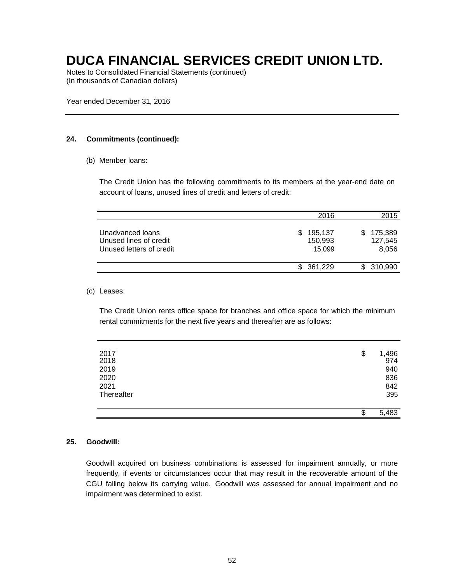Notes to Consolidated Financial Statements (continued) (In thousands of Canadian dollars)

Year ended December 31, 2016

#### **24. Commitments (continued):**

(b) Member loans:

The Credit Union has the following commitments to its members at the year-end date on account of loans, unused lines of credit and letters of credit:

|                                                                        | 2016                               | 2015                             |
|------------------------------------------------------------------------|------------------------------------|----------------------------------|
| Unadvanced loans<br>Unused lines of credit<br>Unused letters of credit | 195,137<br>S.<br>150,993<br>15.099 | 175,389<br>S<br>127,545<br>8,056 |
|                                                                        | \$ 361.229                         | 310,990                          |

#### (c) Leases:

The Credit Union rents office space for branches and office space for which the minimum rental commitments for the next five years and thereafter are as follows:

| 2017<br>2018<br>2019<br>2020<br>2021<br>Thereafter | \$<br>1,496<br>974<br>940<br>836<br>842<br>395 |
|----------------------------------------------------|------------------------------------------------|
|                                                    | \$<br>5,483                                    |

#### **25. Goodwill:**

Goodwill acquired on business combinations is assessed for impairment annually, or more frequently, if events or circumstances occur that may result in the recoverable amount of the CGU falling below its carrying value. Goodwill was assessed for annual impairment and no impairment was determined to exist.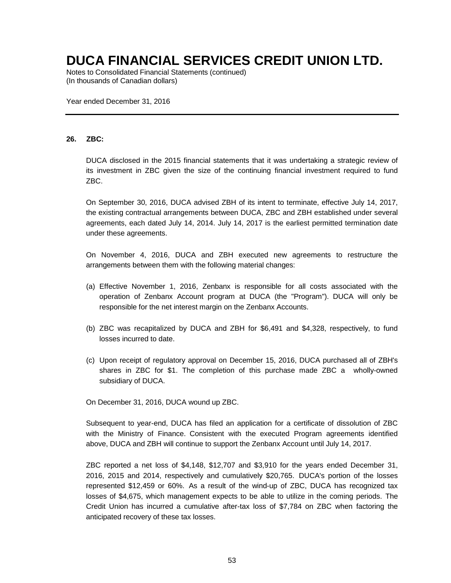Notes to Consolidated Financial Statements (continued) (In thousands of Canadian dollars)

Year ended December 31, 2016

#### **26. ZBC:**

DUCA disclosed in the 2015 financial statements that it was undertaking a strategic review of its investment in ZBC given the size of the continuing financial investment required to fund ZBC.

On September 30, 2016, DUCA advised ZBH of its intent to terminate, effective July 14, 2017, the existing contractual arrangements between DUCA, ZBC and ZBH established under several agreements, each dated July 14, 2014. July 14, 2017 is the earliest permitted termination date under these agreements.

On November 4, 2016, DUCA and ZBH executed new agreements to restructure the arrangements between them with the following material changes:

- (a) Effective November 1, 2016, Zenbanx is responsible for all costs associated with the operation of Zenbanx Account program at DUCA (the "Program"). DUCA will only be responsible for the net interest margin on the Zenbanx Accounts.
- (b) ZBC was recapitalized by DUCA and ZBH for \$6,491 and \$4,328, respectively, to fund losses incurred to date.
- (c) Upon receipt of regulatory approval on December 15, 2016, DUCA purchased all of ZBH's shares in ZBC for \$1. The completion of this purchase made ZBC a wholly-owned subsidiary of DUCA.

On December 31, 2016, DUCA wound up ZBC.

Subsequent to year-end, DUCA has filed an application for a certificate of dissolution of ZBC with the Ministry of Finance. Consistent with the executed Program agreements identified above, DUCA and ZBH will continue to support the Zenbanx Account until July 14, 2017.

ZBC reported a net loss of \$4,148, \$12,707 and \$3,910 for the years ended December 31, 2016, 2015 and 2014, respectively and cumulatively \$20,765. DUCA's portion of the losses represented \$12,459 or 60%. As a result of the wind-up of ZBC, DUCA has recognized tax losses of \$4,675, which management expects to be able to utilize in the coming periods. The Credit Union has incurred a cumulative after-tax loss of \$7,784 on ZBC when factoring the anticipated recovery of these tax losses.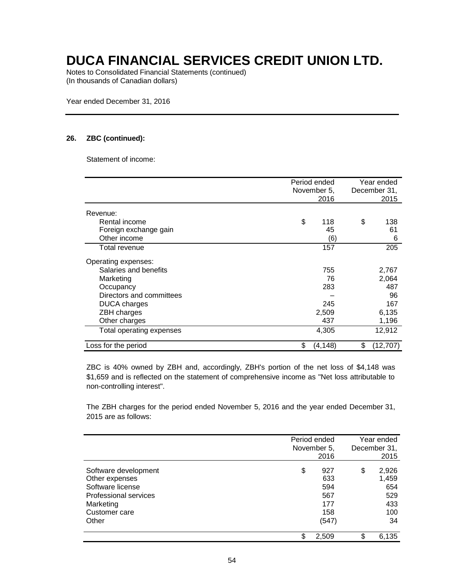Notes to Consolidated Financial Statements (continued) (In thousands of Canadian dollars)

Year ended December 31, 2016

#### **26. ZBC (continued):**

Statement of income:

|                          | Period ended<br>November 5, | 2016     | Year ended<br>December 31,<br>2015 |
|--------------------------|-----------------------------|----------|------------------------------------|
| Revenue:                 |                             |          |                                    |
| Rental income            | \$                          | 118      | \$<br>138                          |
| Foreign exchange gain    |                             | 45       | 61                                 |
| Other income             |                             | (6)      | 6                                  |
| Total revenue            |                             | 157      | 205                                |
| Operating expenses:      |                             |          |                                    |
| Salaries and benefits    |                             | 755      | 2,767                              |
| Marketing                |                             | 76       | 2.064                              |
| Occupancy                |                             | 283      | 487                                |
| Directors and committees |                             |          | 96                                 |
| <b>DUCA charges</b>      |                             | 245      | 167                                |
| <b>ZBH</b> charges       |                             | 2,509    | 6,135                              |
| Other charges            |                             | 437      | 1,196                              |
| Total operating expenses |                             | 4,305    | 12,912                             |
| Loss for the period      | \$                          | (4, 148) | \$<br>(12,707)                     |

ZBC is 40% owned by ZBH and, accordingly, ZBH's portion of the net loss of \$4,148 was \$1,659 and is reflected on the statement of comprehensive income as "Net loss attributable to non-controlling interest".

The ZBH charges for the period ended November 5, 2016 and the year ended December 31, 2015 are as follows:

|                                                                                                                            | Period ended<br>November 5,<br>2016                   | Year ended<br>December 31,<br>2015                     |
|----------------------------------------------------------------------------------------------------------------------------|-------------------------------------------------------|--------------------------------------------------------|
| Software development<br>Other expenses<br>Software license<br>Professional services<br>Marketing<br>Customer care<br>Other | \$<br>927<br>633<br>594<br>567<br>177<br>158<br>(547) | \$<br>2,926<br>1,459<br>654<br>529<br>433<br>100<br>34 |
|                                                                                                                            | \$<br>2,509                                           | \$<br>6,135                                            |